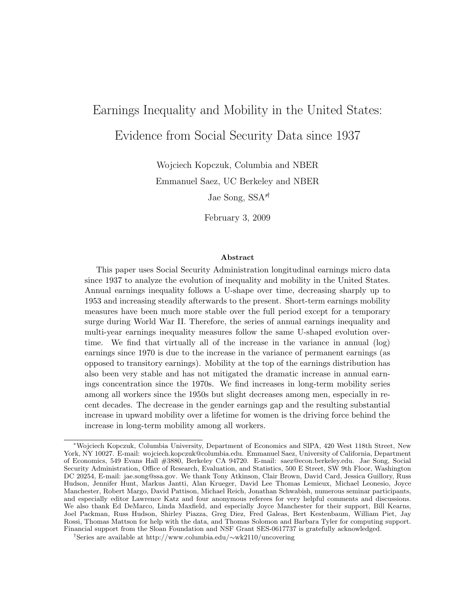# Earnings Inequality and Mobility in the United States: Evidence from Social Security Data since 1937

Wojciech Kopczuk, Columbia and NBER

Emmanuel Saez, UC Berkeley and NBER

Jae Song, SSA<sup>\*†</sup>

February 3, 2009

#### Abstract

This paper uses Social Security Administration longitudinal earnings micro data since 1937 to analyze the evolution of inequality and mobility in the United States. Annual earnings inequality follows a U-shape over time, decreasing sharply up to 1953 and increasing steadily afterwards to the present. Short-term earnings mobility measures have been much more stable over the full period except for a temporary surge during World War II. Therefore, the series of annual earnings inequality and multi-year earnings inequality measures follow the same U-shaped evolution overtime. We find that virtually all of the increase in the variance in annual (log) earnings since 1970 is due to the increase in the variance of permanent earnings (as opposed to transitory earnings). Mobility at the top of the earnings distribution has also been very stable and has not mitigated the dramatic increase in annual earnings concentration since the 1970s. We find increases in long-term mobility series among all workers since the 1950s but slight decreases among men, especially in recent decades. The decrease in the gender earnings gap and the resulting substantial increase in upward mobility over a lifetime for women is the driving force behind the increase in long-term mobility among all workers.

<sup>∗</sup>Wojciech Kopczuk, Columbia University, Department of Economics and SIPA, 420 West 118th Street, New York, NY 10027. E-mail: wojciech.kopczuk@columbia.edu. Emmanuel Saez, University of California, Department of Economics, 549 Evans Hall #3880, Berkeley CA 94720. E-mail: saez@econ.berkeley.edu. Jae Song, Social Security Administration, Office of Research, Evaluation, and Statistics, 500 E Street, SW 9th Floor, Washington DC 20254, E-mail: jae.song@ssa.gov. We thank Tony Atkinson, Clair Brown, David Card, Jessica Guillory, Russ Hudson, Jennifer Hunt, Markus Jantti, Alan Krueger, David Lee Thomas Lemieux, Michael Leonesio, Joyce Manchester, Robert Margo, David Pattison, Michael Reich, Jonathan Schwabish, numerous seminar participants, and especially editor Lawrence Katz and four anonymous referees for very helpful comments and discussions. We also thank Ed DeMarco, Linda Maxfield, and especially Joyce Manchester for their support, Bill Kearns, Joel Packman, Russ Hudson, Shirley Piazza, Greg Diez, Fred Galeas, Bert Kestenbaum, William Piet, Jay Rossi, Thomas Mattson for help with the data, and Thomas Solomon and Barbara Tyler for computing support. Financial support from the Sloan Foundation and NSF Grant SES-0617737 is gratefully acknowledged.

<sup>†</sup>Series are available at http://www.columbia.edu/∼wk2110/uncovering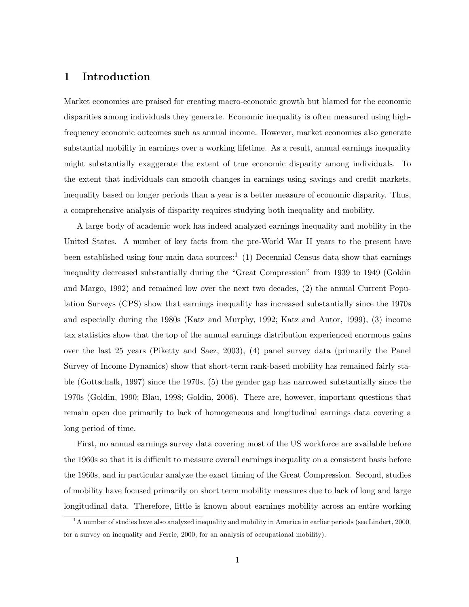# 1 Introduction

Market economies are praised for creating macro-economic growth but blamed for the economic disparities among individuals they generate. Economic inequality is often measured using highfrequency economic outcomes such as annual income. However, market economies also generate substantial mobility in earnings over a working lifetime. As a result, annual earnings inequality might substantially exaggerate the extent of true economic disparity among individuals. To the extent that individuals can smooth changes in earnings using savings and credit markets, inequality based on longer periods than a year is a better measure of economic disparity. Thus, a comprehensive analysis of disparity requires studying both inequality and mobility.

A large body of academic work has indeed analyzed earnings inequality and mobility in the United States. A number of key facts from the pre-World War II years to the present have been established using four main data sources:<sup>1</sup> (1) Decennial Census data show that earnings inequality decreased substantially during the "Great Compression" from 1939 to 1949 (Goldin and Margo, 1992) and remained low over the next two decades, (2) the annual Current Population Surveys (CPS) show that earnings inequality has increased substantially since the 1970s and especially during the 1980s (Katz and Murphy, 1992; Katz and Autor, 1999), (3) income tax statistics show that the top of the annual earnings distribution experienced enormous gains over the last 25 years (Piketty and Saez, 2003), (4) panel survey data (primarily the Panel Survey of Income Dynamics) show that short-term rank-based mobility has remained fairly stable (Gottschalk, 1997) since the 1970s, (5) the gender gap has narrowed substantially since the 1970s (Goldin, 1990; Blau, 1998; Goldin, 2006). There are, however, important questions that remain open due primarily to lack of homogeneous and longitudinal earnings data covering a long period of time.

First, no annual earnings survey data covering most of the US workforce are available before the 1960s so that it is difficult to measure overall earnings inequality on a consistent basis before the 1960s, and in particular analyze the exact timing of the Great Compression. Second, studies of mobility have focused primarily on short term mobility measures due to lack of long and large longitudinal data. Therefore, little is known about earnings mobility across an entire working

 $1A$  number of studies have also analyzed inequality and mobility in America in earlier periods (see Lindert, 2000, for a survey on inequality and Ferrie, 2000, for an analysis of occupational mobility).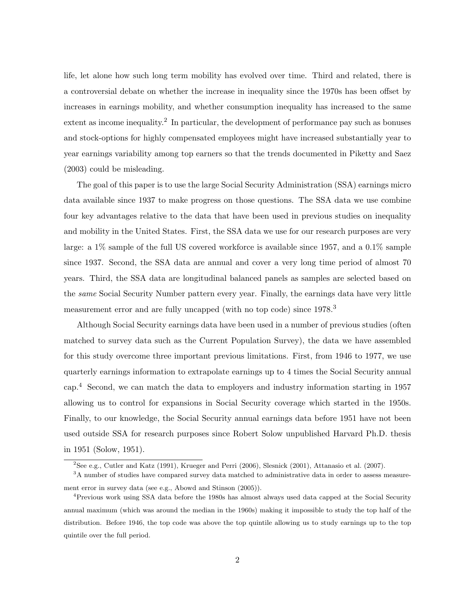life, let alone how such long term mobility has evolved over time. Third and related, there is a controversial debate on whether the increase in inequality since the 1970s has been offset by increases in earnings mobility, and whether consumption inequality has increased to the same extent as income inequality.<sup>2</sup> In particular, the development of performance pay such as bonuses and stock-options for highly compensated employees might have increased substantially year to year earnings variability among top earners so that the trends documented in Piketty and Saez (2003) could be misleading.

The goal of this paper is to use the large Social Security Administration (SSA) earnings micro data available since 1937 to make progress on those questions. The SSA data we use combine four key advantages relative to the data that have been used in previous studies on inequality and mobility in the United States. First, the SSA data we use for our research purposes are very large: a 1% sample of the full US covered workforce is available since 1957, and a 0.1% sample since 1937. Second, the SSA data are annual and cover a very long time period of almost 70 years. Third, the SSA data are longitudinal balanced panels as samples are selected based on the *same* Social Security Number pattern every year. Finally, the earnings data have very little measurement error and are fully uncapped (with no top code) since 1978.<sup>3</sup>

Although Social Security earnings data have been used in a number of previous studies (often matched to survey data such as the Current Population Survey), the data we have assembled for this study overcome three important previous limitations. First, from 1946 to 1977, we use quarterly earnings information to extrapolate earnings up to 4 times the Social Security annual cap.<sup>4</sup> Second, we can match the data to employers and industry information starting in 1957 allowing us to control for expansions in Social Security coverage which started in the 1950s. Finally, to our knowledge, the Social Security annual earnings data before 1951 have not been used outside SSA for research purposes since Robert Solow unpublished Harvard Ph.D. thesis in 1951 (Solow, 1951).

<sup>2</sup>See e.g., Cutler and Katz (1991), Krueger and Perri (2006), Slesnick (2001), Attanasio et al. (2007).

<sup>&</sup>lt;sup>3</sup>A number of studies have compared survey data matched to administrative data in order to assess measurement error in survey data (see e.g., Abowd and Stinson (2005)).

<sup>4</sup>Previous work using SSA data before the 1980s has almost always used data capped at the Social Security annual maximum (which was around the median in the 1960s) making it impossible to study the top half of the distribution. Before 1946, the top code was above the top quintile allowing us to study earnings up to the top quintile over the full period.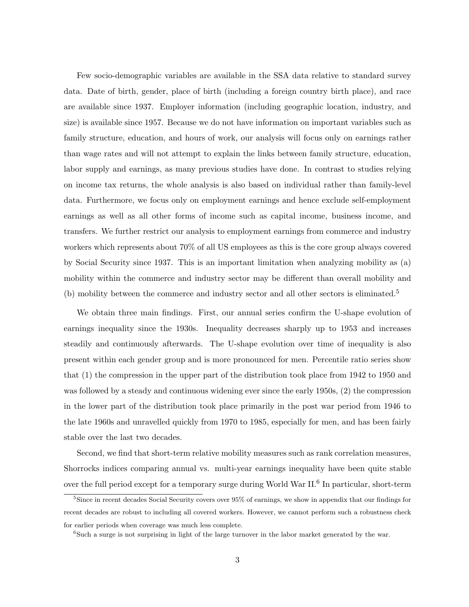Few socio-demographic variables are available in the SSA data relative to standard survey data. Date of birth, gender, place of birth (including a foreign country birth place), and race are available since 1937. Employer information (including geographic location, industry, and size) is available since 1957. Because we do not have information on important variables such as family structure, education, and hours of work, our analysis will focus only on earnings rather than wage rates and will not attempt to explain the links between family structure, education, labor supply and earnings, as many previous studies have done. In contrast to studies relying on income tax returns, the whole analysis is also based on individual rather than family-level data. Furthermore, we focus only on employment earnings and hence exclude self-employment earnings as well as all other forms of income such as capital income, business income, and transfers. We further restrict our analysis to employment earnings from commerce and industry workers which represents about 70% of all US employees as this is the core group always covered by Social Security since 1937. This is an important limitation when analyzing mobility as (a) mobility within the commerce and industry sector may be different than overall mobility and (b) mobility between the commerce and industry sector and all other sectors is eliminated.<sup>5</sup>

We obtain three main findings. First, our annual series confirm the U-shape evolution of earnings inequality since the 1930s. Inequality decreases sharply up to 1953 and increases steadily and continuously afterwards. The U-shape evolution over time of inequality is also present within each gender group and is more pronounced for men. Percentile ratio series show that (1) the compression in the upper part of the distribution took place from 1942 to 1950 and was followed by a steady and continuous widening ever since the early 1950s, (2) the compression in the lower part of the distribution took place primarily in the post war period from 1946 to the late 1960s and unravelled quickly from 1970 to 1985, especially for men, and has been fairly stable over the last two decades.

Second, we find that short-term relative mobility measures such as rank correlation measures, Shorrocks indices comparing annual vs. multi-year earnings inequality have been quite stable over the full period except for a temporary surge during World War II.<sup>6</sup> In particular, short-term

<sup>&</sup>lt;sup>5</sup>Since in recent decades Social Security covers over 95% of earnings, we show in appendix that our findings for recent decades are robust to including all covered workers. However, we cannot perform such a robustness check for earlier periods when coverage was much less complete.

<sup>&</sup>lt;sup>6</sup>Such a surge is not surprising in light of the large turnover in the labor market generated by the war.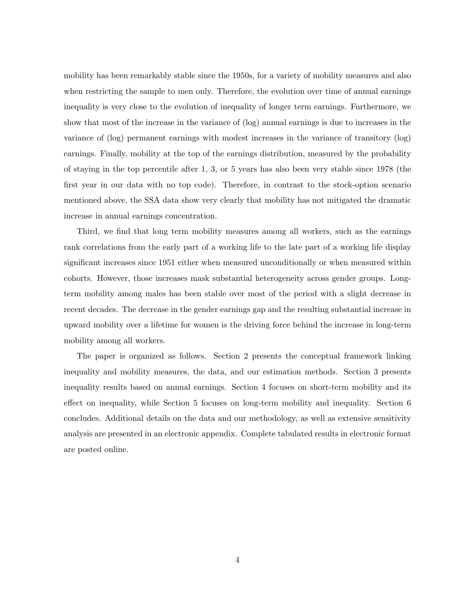mobility has been remarkably stable since the 1950s, for a variety of mobility measures and also when restricting the sample to men only. Therefore, the evolution over time of annual earnings inequality is very close to the evolution of inequality of longer term earnings. Furthermore, we show that most of the increase in the variance of (log) annual earnings is due to increases in the variance of (log) permanent earnings with modest increases in the variance of transitory (log) earnings. Finally, mobility at the top of the earnings distribution, measured by the probability of staying in the top percentile after 1, 3, or 5 years has also been very stable since 1978 (the first year in our data with no top code). Therefore, in contrast to the stock-option scenario mentioned above, the SSA data show very clearly that mobility has not mitigated the dramatic increase in annual earnings concentration.

Third, we find that long term mobility measures among all workers, such as the earnings rank correlations from the early part of a working life to the late part of a working life display significant increases since 1951 either when measured unconditionally or when measured within cohorts. However, those increases mask substantial heterogeneity across gender groups. Longterm mobility among males has been stable over most of the period with a slight decrease in recent decades. The decrease in the gender earnings gap and the resulting substantial increase in upward mobility over a lifetime for women is the driving force behind the increase in long-term mobility among all workers.

The paper is organized as follows. Section 2 presents the conceptual framework linking inequality and mobility measures, the data, and our estimation methods. Section 3 presents inequality results based on annual earnings. Section 4 focuses on short-term mobility and its effect on inequality, while Section 5 focuses on long-term mobility and inequality. Section 6 concludes. Additional details on the data and our methodology, as well as extensive sensitivity analysis are presented in an electronic appendix. Complete tabulated results in electronic format are posted online.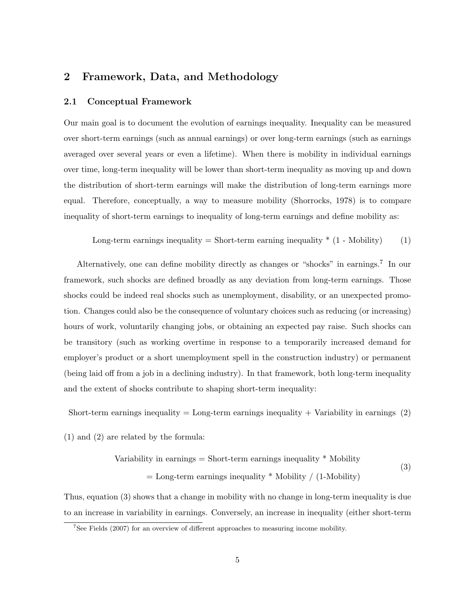# 2 Framework, Data, and Methodology

## 2.1 Conceptual Framework

Our main goal is to document the evolution of earnings inequality. Inequality can be measured over short-term earnings (such as annual earnings) or over long-term earnings (such as earnings averaged over several years or even a lifetime). When there is mobility in individual earnings over time, long-term inequality will be lower than short-term inequality as moving up and down the distribution of short-term earnings will make the distribution of long-term earnings more equal. Therefore, conceptually, a way to measure mobility (Shorrocks, 1978) is to compare inequality of short-term earnings to inequality of long-term earnings and define mobility as:

Long-term earnings inequality = Short-term earning inequality 
$$
*(1 - \text{Mobility})
$$
 (1)

Alternatively, one can define mobility directly as changes or "shocks" in earnings.<sup>7</sup> In our framework, such shocks are defined broadly as any deviation from long-term earnings. Those shocks could be indeed real shocks such as unemployment, disability, or an unexpected promotion. Changes could also be the consequence of voluntary choices such as reducing (or increasing) hours of work, voluntarily changing jobs, or obtaining an expected pay raise. Such shocks can be transitory (such as working overtime in response to a temporarily increased demand for employer's product or a short unemployment spell in the construction industry) or permanent (being laid off from a job in a declining industry). In that framework, both long-term inequality and the extent of shocks contribute to shaping short-term inequality:

Short-term earnings inequality  $=$  Long-term earnings inequality  $+$  Variability in earnings (2)

(1) and (2) are related by the formula:

Variability in earnings = Short-term earnings inequality 
$$
^*
$$
 Mobility

\n
$$
=
$$
 Long-term earnings inequality  $^*$  Mobility / (1-Mobility)

\n(3)

Thus, equation (3) shows that a change in mobility with no change in long-term inequality is due to an increase in variability in earnings. Conversely, an increase in inequality (either short-term

<sup>7</sup>See Fields (2007) for an overview of different approaches to measuring income mobility.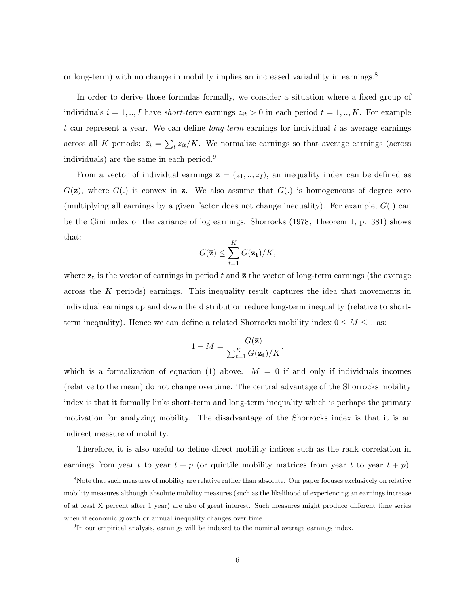or long-term) with no change in mobility implies an increased variability in earnings.<sup>8</sup>

In order to derive those formulas formally, we consider a situation where a fixed group of individuals  $i = 1, ..., I$  have *short-term* earnings  $z_{it} > 0$  in each period  $t = 1, ..., K$ . For example t can represent a year. We can define *long-term* earnings for individual i as average earnings across all K periods:  $\bar{z}_i = \sum_t z_{it}/K$ . We normalize earnings so that average earnings (across individuals) are the same in each period.<sup>9</sup>

From a vector of individual earnings  $z = (z_1, ..., z_I)$ , an inequality index can be defined as  $G(\mathbf{z})$ , where  $G(.)$  is convex in **z**. We also assume that  $G(.)$  is homogeneous of degree zero (multiplying all earnings by a given factor does not change inequality). For example,  $G(.)$  can be the Gini index or the variance of log earnings. Shorrocks (1978, Theorem 1, p. 381) shows that:

$$
G(\bar{\mathbf{z}}) \leq \sum_{t=1}^K G(\mathbf{z_t})/K,
$$

where  $z_t$  is the vector of earnings in period t and  $\bar{z}$  the vector of long-term earnings (the average across the K periods) earnings. This inequality result captures the idea that movements in individual earnings up and down the distribution reduce long-term inequality (relative to shortterm inequality). Hence we can define a related Shorrocks mobility index  $0 \leq M \leq 1$  as:

$$
1 - M = \frac{G(\bar{\mathbf{z}})}{\sum_{t=1}^{K} G(\mathbf{z_t})/K},
$$

which is a formalization of equation (1) above.  $M = 0$  if and only if individuals incomes (relative to the mean) do not change overtime. The central advantage of the Shorrocks mobility index is that it formally links short-term and long-term inequality which is perhaps the primary motivation for analyzing mobility. The disadvantage of the Shorrocks index is that it is an indirect measure of mobility.

Therefore, it is also useful to define direct mobility indices such as the rank correlation in earnings from year t to year  $t + p$  (or quintile mobility matrices from year t to year  $t + p$ ).

<sup>&</sup>lt;sup>8</sup>Note that such measures of mobility are relative rather than absolute. Our paper focuses exclusively on relative mobility measures although absolute mobility measures (such as the likelihood of experiencing an earnings increase of at least X percent after 1 year) are also of great interest. Such measures might produce different time series when if economic growth or annual inequality changes over time.

<sup>&</sup>lt;sup>9</sup>In our empirical analysis, earnings will be indexed to the nominal average earnings index.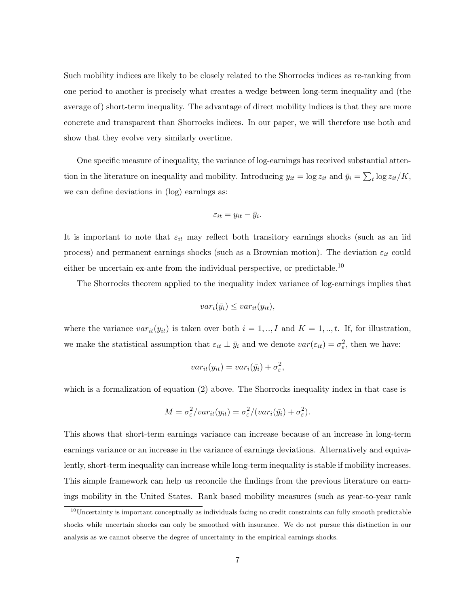Such mobility indices are likely to be closely related to the Shorrocks indices as re-ranking from one period to another is precisely what creates a wedge between long-term inequality and (the average of) short-term inequality. The advantage of direct mobility indices is that they are more concrete and transparent than Shorrocks indices. In our paper, we will therefore use both and show that they evolve very similarly overtime.

One specific measure of inequality, the variance of log-earnings has received substantial attention in the literature on inequality and mobility. Introducing  $y_{it} = \log z_{it}$  and  $\bar{y}_i = \sum_t \log z_{it}/K$ , we can define deviations in (log) earnings as:

$$
\varepsilon_{it} = y_{it} - \bar{y}_i.
$$

It is important to note that  $\varepsilon_{it}$  may reflect both transitory earnings shocks (such as an iid process) and permanent earnings shocks (such as a Brownian motion). The deviation  $\varepsilon_{it}$  could either be uncertain ex-ante from the individual perspective, or predictable.<sup>10</sup>

The Shorrocks theorem applied to the inequality index variance of log-earnings implies that

$$
var_i(\bar{y_i}) \leq var_{it}(y_{it}),
$$

where the variance  $var_{it}(y_{it})$  is taken over both  $i = 1, ..., I$  and  $K = 1, ..., t$ . If, for illustration, we make the statistical assumption that  $\varepsilon_{it} \perp \bar{y}_i$  and we denote  $var(\varepsilon_{it}) = \sigma_{\varepsilon}^2$ , then we have:

$$
var_{it}(y_{it}) = var_i(\bar{y}_i) + \sigma_{\varepsilon}^2,
$$

which is a formalization of equation (2) above. The Shorrocks inequality index in that case is

$$
M = \sigma_{\varepsilon}^2 / var_{it}(y_{it}) = \sigma_{\varepsilon}^2 / (var_i(\bar{y}_i) + \sigma_{\varepsilon}^2).
$$

This shows that short-term earnings variance can increase because of an increase in long-term earnings variance or an increase in the variance of earnings deviations. Alternatively and equivalently, short-term inequality can increase while long-term inequality is stable if mobility increases. This simple framework can help us reconcile the findings from the previous literature on earnings mobility in the United States. Rank based mobility measures (such as year-to-year rank

 $10$ Uncertainty is important conceptually as individuals facing no credit constraints can fully smooth predictable shocks while uncertain shocks can only be smoothed with insurance. We do not pursue this distinction in our analysis as we cannot observe the degree of uncertainty in the empirical earnings shocks.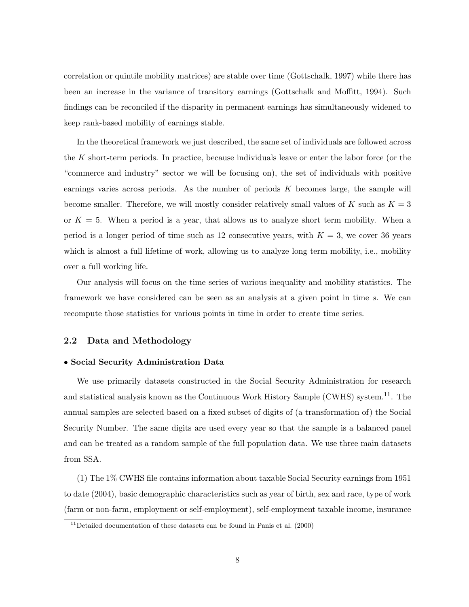correlation or quintile mobility matrices) are stable over time (Gottschalk, 1997) while there has been an increase in the variance of transitory earnings (Gottschalk and Moffitt, 1994). Such findings can be reconciled if the disparity in permanent earnings has simultaneously widened to keep rank-based mobility of earnings stable.

In the theoretical framework we just described, the same set of individuals are followed across the K short-term periods. In practice, because individuals leave or enter the labor force (or the "commerce and industry" sector we will be focusing on), the set of individuals with positive earnings varies across periods. As the number of periods  $K$  becomes large, the sample will become smaller. Therefore, we will mostly consider relatively small values of K such as  $K = 3$ or  $K = 5$ . When a period is a year, that allows us to analyze short term mobility. When a period is a longer period of time such as 12 consecutive years, with  $K = 3$ , we cover 36 years which is almost a full lifetime of work, allowing us to analyze long term mobility, i.e., mobility over a full working life.

Our analysis will focus on the time series of various inequality and mobility statistics. The framework we have considered can be seen as an analysis at a given point in time s. We can recompute those statistics for various points in time in order to create time series.

## 2.2 Data and Methodology

## • Social Security Administration Data

We use primarily datasets constructed in the Social Security Administration for research and statistical analysis known as the Continuous Work History Sample (CWHS) system.<sup>11</sup>. The annual samples are selected based on a fixed subset of digits of (a transformation of) the Social Security Number. The same digits are used every year so that the sample is a balanced panel and can be treated as a random sample of the full population data. We use three main datasets from SSA.

(1) The 1% CWHS file contains information about taxable Social Security earnings from 1951 to date (2004), basic demographic characteristics such as year of birth, sex and race, type of work (farm or non-farm, employment or self-employment), self-employment taxable income, insurance

<sup>&</sup>lt;sup>11</sup>Detailed documentation of these datasets can be found in Panis et al.  $(2000)$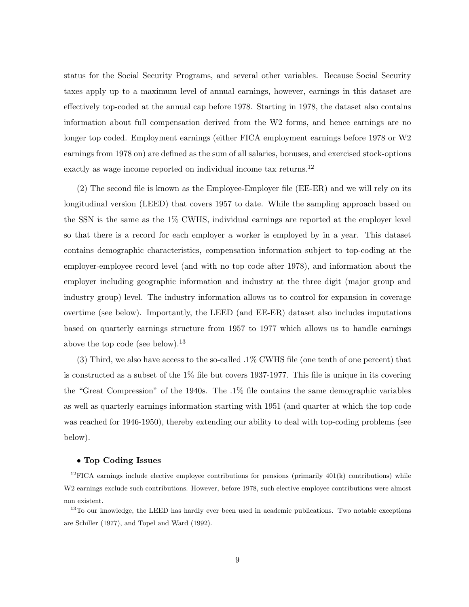status for the Social Security Programs, and several other variables. Because Social Security taxes apply up to a maximum level of annual earnings, however, earnings in this dataset are effectively top-coded at the annual cap before 1978. Starting in 1978, the dataset also contains information about full compensation derived from the W2 forms, and hence earnings are no longer top coded. Employment earnings (either FICA employment earnings before 1978 or W2 earnings from 1978 on) are defined as the sum of all salaries, bonuses, and exercised stock-options exactly as wage income reported on individual income tax returns.<sup>12</sup>

(2) The second file is known as the Employee-Employer file (EE-ER) and we will rely on its longitudinal version (LEED) that covers 1957 to date. While the sampling approach based on the SSN is the same as the 1% CWHS, individual earnings are reported at the employer level so that there is a record for each employer a worker is employed by in a year. This dataset contains demographic characteristics, compensation information subject to top-coding at the employer-employee record level (and with no top code after 1978), and information about the employer including geographic information and industry at the three digit (major group and industry group) level. The industry information allows us to control for expansion in coverage overtime (see below). Importantly, the LEED (and EE-ER) dataset also includes imputations based on quarterly earnings structure from 1957 to 1977 which allows us to handle earnings above the top code (see below).<sup>13</sup>

(3) Third, we also have access to the so-called .1% CWHS file (one tenth of one percent) that is constructed as a subset of the 1% file but covers 1937-1977. This file is unique in its covering the "Great Compression" of the 1940s. The .1% file contains the same demographic variables as well as quarterly earnings information starting with 1951 (and quarter at which the top code was reached for 1946-1950), thereby extending our ability to deal with top-coding problems (see below).

#### • Top Coding Issues

 $12$ FICA earnings include elective employee contributions for pensions (primarily 401(k) contributions) while W2 earnings exclude such contributions. However, before 1978, such elective employee contributions were almost non existent.

<sup>&</sup>lt;sup>13</sup>To our knowledge, the LEED has hardly ever been used in academic publications. Two notable exceptions are Schiller (1977), and Topel and Ward (1992).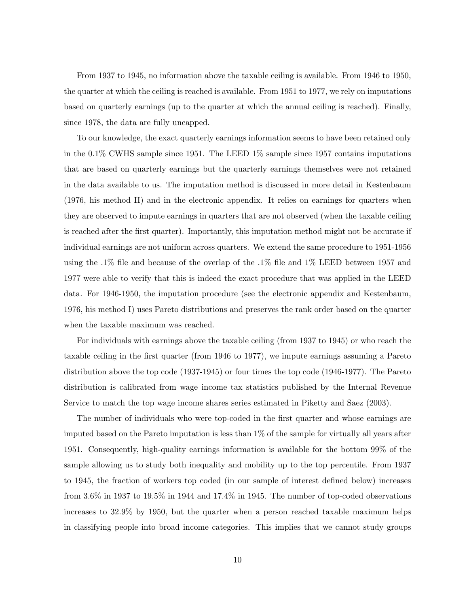From 1937 to 1945, no information above the taxable ceiling is available. From 1946 to 1950, the quarter at which the ceiling is reached is available. From 1951 to 1977, we rely on imputations based on quarterly earnings (up to the quarter at which the annual ceiling is reached). Finally, since 1978, the data are fully uncapped.

To our knowledge, the exact quarterly earnings information seems to have been retained only in the 0.1% CWHS sample since 1951. The LEED 1% sample since 1957 contains imputations that are based on quarterly earnings but the quarterly earnings themselves were not retained in the data available to us. The imputation method is discussed in more detail in Kestenbaum (1976, his method II) and in the electronic appendix. It relies on earnings for quarters when they are observed to impute earnings in quarters that are not observed (when the taxable ceiling is reached after the first quarter). Importantly, this imputation method might not be accurate if individual earnings are not uniform across quarters. We extend the same procedure to 1951-1956 using the .1% file and because of the overlap of the .1% file and 1% LEED between 1957 and 1977 were able to verify that this is indeed the exact procedure that was applied in the LEED data. For 1946-1950, the imputation procedure (see the electronic appendix and Kestenbaum, 1976, his method I) uses Pareto distributions and preserves the rank order based on the quarter when the taxable maximum was reached.

For individuals with earnings above the taxable ceiling (from 1937 to 1945) or who reach the taxable ceiling in the first quarter (from 1946 to 1977), we impute earnings assuming a Pareto distribution above the top code (1937-1945) or four times the top code (1946-1977). The Pareto distribution is calibrated from wage income tax statistics published by the Internal Revenue Service to match the top wage income shares series estimated in Piketty and Saez (2003).

The number of individuals who were top-coded in the first quarter and whose earnings are imputed based on the Pareto imputation is less than 1% of the sample for virtually all years after 1951. Consequently, high-quality earnings information is available for the bottom 99% of the sample allowing us to study both inequality and mobility up to the top percentile. From 1937 to 1945, the fraction of workers top coded (in our sample of interest defined below) increases from 3.6% in 1937 to 19.5% in 1944 and 17.4% in 1945. The number of top-coded observations increases to 32.9% by 1950, but the quarter when a person reached taxable maximum helps in classifying people into broad income categories. This implies that we cannot study groups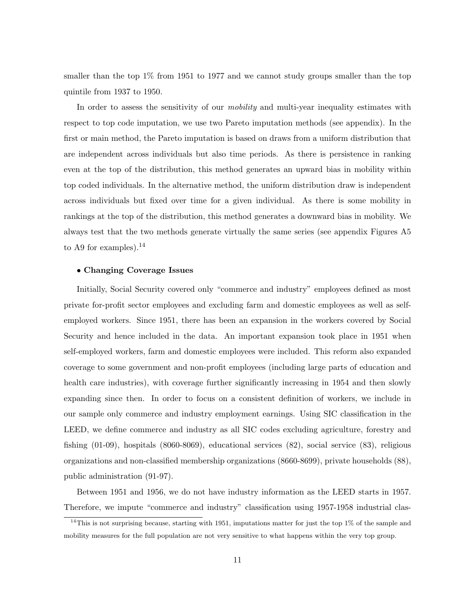smaller than the top 1% from 1951 to 1977 and we cannot study groups smaller than the top quintile from 1937 to 1950.

In order to assess the sensitivity of our *mobility* and multi-year inequality estimates with respect to top code imputation, we use two Pareto imputation methods (see appendix). In the first or main method, the Pareto imputation is based on draws from a uniform distribution that are independent across individuals but also time periods. As there is persistence in ranking even at the top of the distribution, this method generates an upward bias in mobility within top coded individuals. In the alternative method, the uniform distribution draw is independent across individuals but fixed over time for a given individual. As there is some mobility in rankings at the top of the distribution, this method generates a downward bias in mobility. We always test that the two methods generate virtually the same series (see appendix Figures A5 to A9 for examples).<sup>14</sup>

## • Changing Coverage Issues

Initially, Social Security covered only "commerce and industry" employees defined as most private for-profit sector employees and excluding farm and domestic employees as well as selfemployed workers. Since 1951, there has been an expansion in the workers covered by Social Security and hence included in the data. An important expansion took place in 1951 when self-employed workers, farm and domestic employees were included. This reform also expanded coverage to some government and non-profit employees (including large parts of education and health care industries), with coverage further significantly increasing in 1954 and then slowly expanding since then. In order to focus on a consistent definition of workers, we include in our sample only commerce and industry employment earnings. Using SIC classification in the LEED, we define commerce and industry as all SIC codes excluding agriculture, forestry and fishing (01-09), hospitals (8060-8069), educational services (82), social service (83), religious organizations and non-classified membership organizations (8660-8699), private households (88), public administration (91-97).

Between 1951 and 1956, we do not have industry information as the LEED starts in 1957. Therefore, we impute "commerce and industry" classification using 1957-1958 industrial clas-

 $14$ This is not surprising because, starting with 1951, imputations matter for just the top 1% of the sample and mobility measures for the full population are not very sensitive to what happens within the very top group.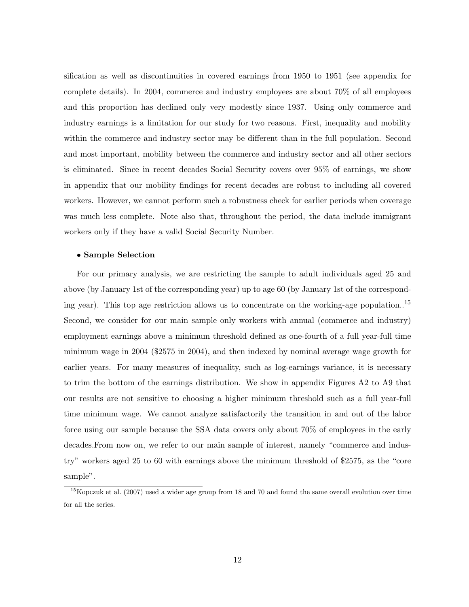sification as well as discontinuities in covered earnings from 1950 to 1951 (see appendix for complete details). In 2004, commerce and industry employees are about 70% of all employees and this proportion has declined only very modestly since 1937. Using only commerce and industry earnings is a limitation for our study for two reasons. First, inequality and mobility within the commerce and industry sector may be different than in the full population. Second and most important, mobility between the commerce and industry sector and all other sectors is eliminated. Since in recent decades Social Security covers over 95% of earnings, we show in appendix that our mobility findings for recent decades are robust to including all covered workers. However, we cannot perform such a robustness check for earlier periods when coverage was much less complete. Note also that, throughout the period, the data include immigrant workers only if they have a valid Social Security Number.

#### • Sample Selection

For our primary analysis, we are restricting the sample to adult individuals aged 25 and above (by January 1st of the corresponding year) up to age 60 (by January 1st of the corresponding year). This top age restriction allows us to concentrate on the working-age population..<sup>15</sup> Second, we consider for our main sample only workers with annual (commerce and industry) employment earnings above a minimum threshold defined as one-fourth of a full year-full time minimum wage in 2004 (\$2575 in 2004), and then indexed by nominal average wage growth for earlier years. For many measures of inequality, such as log-earnings variance, it is necessary to trim the bottom of the earnings distribution. We show in appendix Figures A2 to A9 that our results are not sensitive to choosing a higher minimum threshold such as a full year-full time minimum wage. We cannot analyze satisfactorily the transition in and out of the labor force using our sample because the SSA data covers only about 70% of employees in the early decades.From now on, we refer to our main sample of interest, namely "commerce and industry" workers aged 25 to 60 with earnings above the minimum threshold of \$2575, as the "core sample".

<sup>&</sup>lt;sup>15</sup>Kopczuk et al. (2007) used a wider age group from 18 and 70 and found the same overall evolution over time for all the series.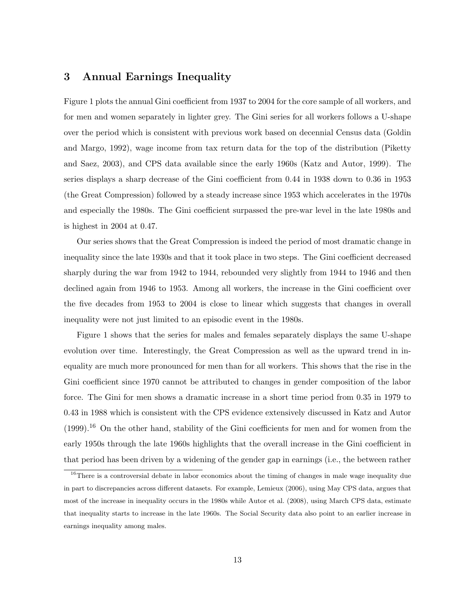# 3 Annual Earnings Inequality

Figure 1 plots the annual Gini coefficient from 1937 to 2004 for the core sample of all workers, and for men and women separately in lighter grey. The Gini series for all workers follows a U-shape over the period which is consistent with previous work based on decennial Census data (Goldin and Margo, 1992), wage income from tax return data for the top of the distribution (Piketty and Saez, 2003), and CPS data available since the early 1960s (Katz and Autor, 1999). The series displays a sharp decrease of the Gini coefficient from 0.44 in 1938 down to 0.36 in 1953 (the Great Compression) followed by a steady increase since 1953 which accelerates in the 1970s and especially the 1980s. The Gini coefficient surpassed the pre-war level in the late 1980s and is highest in 2004 at 0.47.

Our series shows that the Great Compression is indeed the period of most dramatic change in inequality since the late 1930s and that it took place in two steps. The Gini coefficient decreased sharply during the war from 1942 to 1944, rebounded very slightly from 1944 to 1946 and then declined again from 1946 to 1953. Among all workers, the increase in the Gini coefficient over the five decades from 1953 to 2004 is close to linear which suggests that changes in overall inequality were not just limited to an episodic event in the 1980s.

Figure 1 shows that the series for males and females separately displays the same U-shape evolution over time. Interestingly, the Great Compression as well as the upward trend in inequality are much more pronounced for men than for all workers. This shows that the rise in the Gini coefficient since 1970 cannot be attributed to changes in gender composition of the labor force. The Gini for men shows a dramatic increase in a short time period from 0.35 in 1979 to 0.43 in 1988 which is consistent with the CPS evidence extensively discussed in Katz and Autor  $(1999).$ <sup>16</sup> On the other hand, stability of the Gini coefficients for men and for women from the early 1950s through the late 1960s highlights that the overall increase in the Gini coefficient in that period has been driven by a widening of the gender gap in earnings (i.e., the between rather

<sup>&</sup>lt;sup>16</sup>There is a controversial debate in labor economics about the timing of changes in male wage inequality due in part to discrepancies across different datasets. For example, Lemieux (2006), using May CPS data, argues that most of the increase in inequality occurs in the 1980s while Autor et al. (2008), using March CPS data, estimate that inequality starts to increase in the late 1960s. The Social Security data also point to an earlier increase in earnings inequality among males.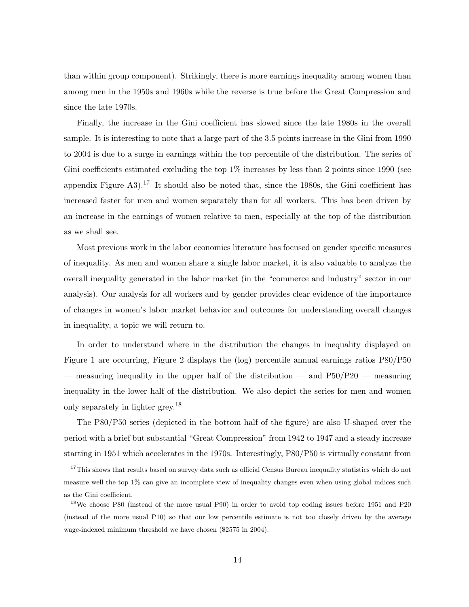than within group component). Strikingly, there is more earnings inequality among women than among men in the 1950s and 1960s while the reverse is true before the Great Compression and since the late 1970s.

Finally, the increase in the Gini coefficient has slowed since the late 1980s in the overall sample. It is interesting to note that a large part of the 3.5 points increase in the Gini from 1990 to 2004 is due to a surge in earnings within the top percentile of the distribution. The series of Gini coefficients estimated excluding the top  $1\%$  increases by less than 2 points since 1990 (see appendix Figure A3).<sup>17</sup> It should also be noted that, since the 1980s, the Gini coefficient has increased faster for men and women separately than for all workers. This has been driven by an increase in the earnings of women relative to men, especially at the top of the distribution as we shall see.

Most previous work in the labor economics literature has focused on gender specific measures of inequality. As men and women share a single labor market, it is also valuable to analyze the overall inequality generated in the labor market (in the "commerce and industry" sector in our analysis). Our analysis for all workers and by gender provides clear evidence of the importance of changes in women's labor market behavior and outcomes for understanding overall changes in inequality, a topic we will return to.

In order to understand where in the distribution the changes in inequality displayed on Figure 1 are occurring, Figure 2 displays the (log) percentile annual earnings ratios P80/P50 — measuring inequality in the upper half of the distribution — and  $P50/P20$  — measuring inequality in the lower half of the distribution. We also depict the series for men and women only separately in lighter grey.<sup>18</sup>

The P80/P50 series (depicted in the bottom half of the figure) are also U-shaped over the period with a brief but substantial "Great Compression" from 1942 to 1947 and a steady increase starting in 1951 which accelerates in the 1970s. Interestingly, P80/P50 is virtually constant from

<sup>&</sup>lt;sup>17</sup>This shows that results based on survey data such as official Census Bureau inequality statistics which do not measure well the top 1% can give an incomplete view of inequality changes even when using global indices such as the Gini coefficient.

<sup>18</sup>We choose P80 (instead of the more usual P90) in order to avoid top coding issues before 1951 and P20 (instead of the more usual P10) so that our low percentile estimate is not too closely driven by the average wage-indexed minimum threshold we have chosen (\$2575 in 2004).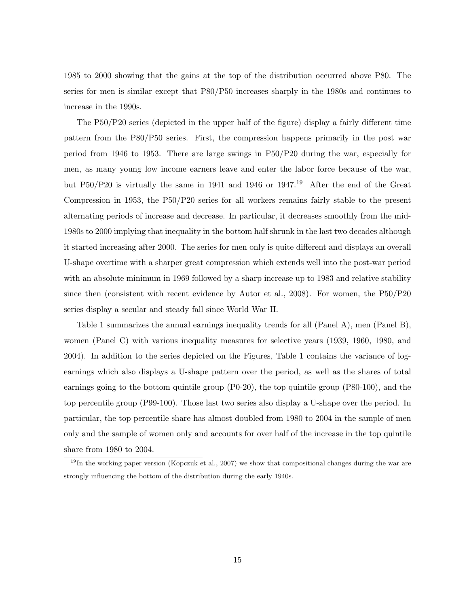1985 to 2000 showing that the gains at the top of the distribution occurred above P80. The series for men is similar except that P80/P50 increases sharply in the 1980s and continues to increase in the 1990s.

The P50/P20 series (depicted in the upper half of the figure) display a fairly different time pattern from the P80/P50 series. First, the compression happens primarily in the post war period from 1946 to 1953. There are large swings in P50/P20 during the war, especially for men, as many young low income earners leave and enter the labor force because of the war, but P50/P20 is virtually the same in 1941 and 1946 or 1947.<sup>19</sup> After the end of the Great Compression in 1953, the P50/P20 series for all workers remains fairly stable to the present alternating periods of increase and decrease. In particular, it decreases smoothly from the mid-1980s to 2000 implying that inequality in the bottom half shrunk in the last two decades although it started increasing after 2000. The series for men only is quite different and displays an overall U-shape overtime with a sharper great compression which extends well into the post-war period with an absolute minimum in 1969 followed by a sharp increase up to 1983 and relative stability since then (consistent with recent evidence by Autor et al., 2008). For women, the P50/P20 series display a secular and steady fall since World War II.

Table 1 summarizes the annual earnings inequality trends for all (Panel A), men (Panel B), women (Panel C) with various inequality measures for selective years (1939, 1960, 1980, and 2004). In addition to the series depicted on the Figures, Table 1 contains the variance of logearnings which also displays a U-shape pattern over the period, as well as the shares of total earnings going to the bottom quintile group (P0-20), the top quintile group (P80-100), and the top percentile group (P99-100). Those last two series also display a U-shape over the period. In particular, the top percentile share has almost doubled from 1980 to 2004 in the sample of men only and the sample of women only and accounts for over half of the increase in the top quintile share from 1980 to 2004.

 $19$ In the working paper version (Kopczuk et al., 2007) we show that compositional changes during the war are strongly influencing the bottom of the distribution during the early 1940s.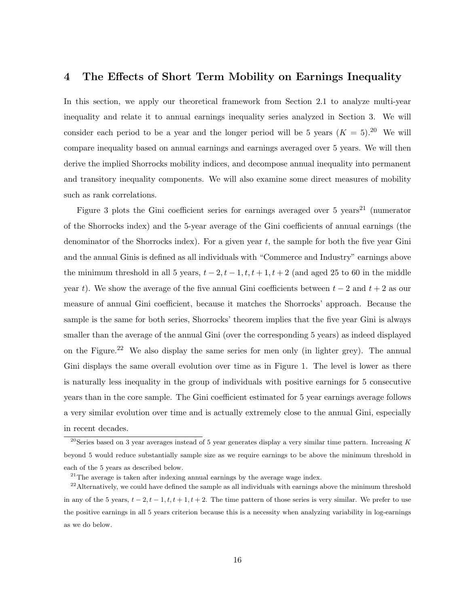## 4 The Effects of Short Term Mobility on Earnings Inequality

In this section, we apply our theoretical framework from Section 2.1 to analyze multi-year inequality and relate it to annual earnings inequality series analyzed in Section 3. We will consider each period to be a year and the longer period will be 5 years  $(K = 5)$ .<sup>20</sup> We will compare inequality based on annual earnings and earnings averaged over 5 years. We will then derive the implied Shorrocks mobility indices, and decompose annual inequality into permanent and transitory inequality components. We will also examine some direct measures of mobility such as rank correlations.

Figure 3 plots the Gini coefficient series for earnings averaged over 5 years<sup>21</sup> (numerator of the Shorrocks index) and the 5-year average of the Gini coefficients of annual earnings (the denominator of the Shorrocks index). For a given year  $t$ , the sample for both the five year Gini and the annual Ginis is defined as all individuals with "Commerce and Industry" earnings above the minimum threshold in all 5 years,  $t-2$ ,  $t-1$ ,  $t$ ,  $t+1$ ,  $t+2$  (and aged 25 to 60 in the middle year t). We show the average of the five annual Gini coefficients between  $t-2$  and  $t+2$  as our measure of annual Gini coefficient, because it matches the Shorrocks' approach. Because the sample is the same for both series, Shorrocks' theorem implies that the five year Gini is always smaller than the average of the annual Gini (over the corresponding 5 years) as indeed displayed on the Figure.<sup>22</sup> We also display the same series for men only (in lighter grey). The annual Gini displays the same overall evolution over time as in Figure 1. The level is lower as there is naturally less inequality in the group of individuals with positive earnings for 5 consecutive years than in the core sample. The Gini coefficient estimated for 5 year earnings average follows a very similar evolution over time and is actually extremely close to the annual Gini, especially in recent decades.

<sup>&</sup>lt;sup>20</sup>Series based on 3 year averages instead of 5 year generates display a very similar time pattern. Increasing K beyond 5 would reduce substantially sample size as we require earnings to be above the minimum threshold in each of the 5 years as described below.

 $21$ The average is taken after indexing annual earnings by the average wage index.

<sup>&</sup>lt;sup>22</sup>Alternatively, we could have defined the sample as all individuals with earnings above the minimum threshold in any of the 5 years,  $t-2$ ,  $t-1$ ,  $t$ ,  $t+1$ ,  $t+2$ . The time pattern of those series is very similar. We prefer to use the positive earnings in all 5 years criterion because this is a necessity when analyzing variability in log-earnings as we do below.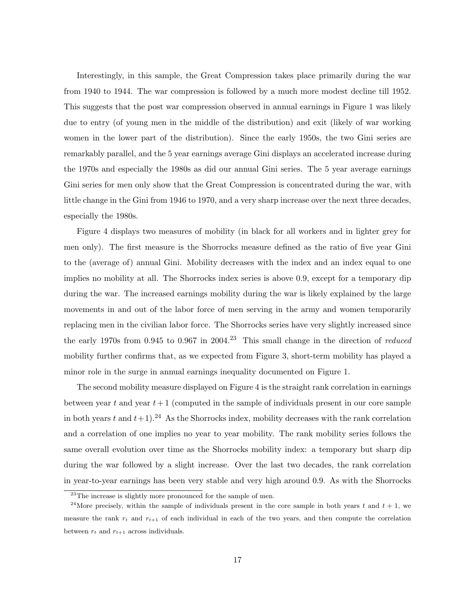Interestingly, in this sample, the Great Compression takes place primarily during the war from 1940 to 1944. The war compression is followed by a much more modest decline till 1952. This suggests that the post war compression observed in annual earnings in Figure 1 was likely due to entry (of young men in the middle of the distribution) and exit (likely of war working women in the lower part of the distribution). Since the early 1950s, the two Gini series are remarkably parallel, and the 5 year earnings average Gini displays an accelerated increase during the 1970s and especially the 1980s as did our annual Gini series. The 5 year average earnings Gini series for men only show that the Great Compression is concentrated during the war, with little change in the Gini from 1946 to 1970, and a very sharp increase over the next three decades, especially the 1980s.

Figure 4 displays two measures of mobility (in black for all workers and in lighter grey for men only). The first measure is the Shorrocks measure defined as the ratio of five year Gini to the (average of) annual Gini. Mobility decreases with the index and an index equal to one implies no mobility at all. The Shorrocks index series is above 0.9, except for a temporary dip during the war. The increased earnings mobility during the war is likely explained by the large movements in and out of the labor force of men serving in the army and women temporarily replacing men in the civilian labor force. The Shorrocks series have very slightly increased since the early 1970s from 0.945 to 0.967 in 2004.<sup>23</sup> This small change in the direction of *reduced* mobility further confirms that, as we expected from Figure 3, short-term mobility has played a minor role in the surge in annual earnings inequality documented on Figure 1.

The second mobility measure displayed on Figure 4 is the straight rank correlation in earnings between year t and year  $t+1$  (computed in the sample of individuals present in our core sample in both years t and  $t+1$ .<sup>24</sup> As the Shorrocks index, mobility decreases with the rank correlation and a correlation of one implies no year to year mobility. The rank mobility series follows the same overall evolution over time as the Shorrocks mobility index: a temporary but sharp dip during the war followed by a slight increase. Over the last two decades, the rank correlation in year-to-year earnings has been very stable and very high around 0.9. As with the Shorrocks

 $^{23}$ The increase is slightly more pronounced for the sample of men.

<sup>&</sup>lt;sup>24</sup>More precisely, within the sample of individuals present in the core sample in both years t and  $t + 1$ , we measure the rank  $r_t$  and  $r_{t+1}$  of each individual in each of the two years, and then compute the correlation between  $r_t$  and  $r_{t+1}$  across individuals.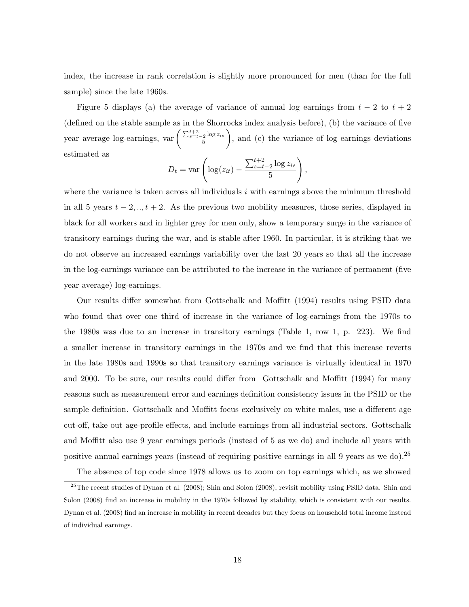index, the increase in rank correlation is slightly more pronounced for men (than for the full sample) since the late 1960s.

Figure 5 displays (a) the average of variance of annual log earnings from  $t - 2$  to  $t + 2$ (defined on the stable sample as in the Shorrocks index analysis before), (b) the variance of five year average log-earnings,  $var\left(\frac{\sum_{s=t-2}^{t+2} \log z_{is}}{5}\right)$ 5 , and (c) the variance of log earnings deviations estimated as

$$
D_t = \text{var}\left(\log(z_{it}) - \frac{\sum_{s=t-2}^{t+2} \log z_{is}}{5}\right),\,
$$

where the variance is taken across all individuals  $i$  with earnings above the minimum threshold in all 5 years  $t - 2, ..., t + 2$ . As the previous two mobility measures, those series, displayed in black for all workers and in lighter grey for men only, show a temporary surge in the variance of transitory earnings during the war, and is stable after 1960. In particular, it is striking that we do not observe an increased earnings variability over the last 20 years so that all the increase in the log-earnings variance can be attributed to the increase in the variance of permanent (five year average) log-earnings.

Our results differ somewhat from Gottschalk and Moffitt (1994) results using PSID data who found that over one third of increase in the variance of log-earnings from the 1970s to the 1980s was due to an increase in transitory earnings (Table 1, row 1, p. 223). We find a smaller increase in transitory earnings in the 1970s and we find that this increase reverts in the late 1980s and 1990s so that transitory earnings variance is virtually identical in 1970 and 2000. To be sure, our results could differ from Gottschalk and Moffitt (1994) for many reasons such as measurement error and earnings definition consistency issues in the PSID or the sample definition. Gottschalk and Moffitt focus exclusively on white males, use a different age cut-off, take out age-profile effects, and include earnings from all industrial sectors. Gottschalk and Moffitt also use 9 year earnings periods (instead of 5 as we do) and include all years with positive annual earnings years (instead of requiring positive earnings in all 9 years as we do).<sup>25</sup>

The absence of top code since 1978 allows us to zoom on top earnings which, as we showed

<sup>&</sup>lt;sup>25</sup>The recent studies of Dynan et al. (2008); Shin and Solon (2008), revisit mobility using PSID data. Shin and Solon (2008) find an increase in mobility in the 1970s followed by stability, which is consistent with our results. Dynan et al. (2008) find an increase in mobility in recent decades but they focus on household total income instead of individual earnings.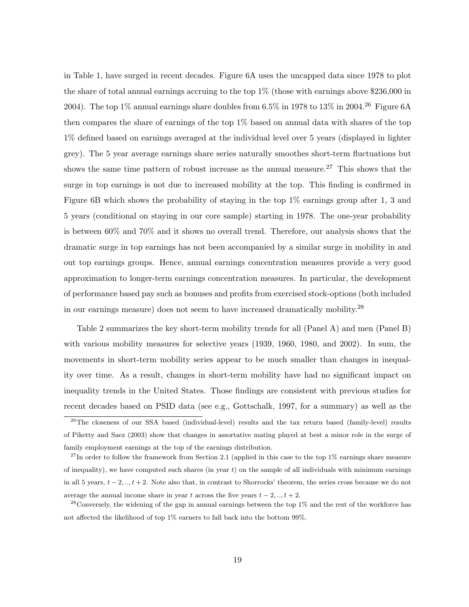in Table 1, have surged in recent decades. Figure 6A uses the uncapped data since 1978 to plot the share of total annual earnings accruing to the top 1% (those with earnings above \$236,000 in 2004). The top 1% annual earnings share doubles from 6.5% in 1978 to 13% in 2004.<sup>26</sup> Figure 6A then compares the share of earnings of the top 1% based on annual data with shares of the top 1% defined based on earnings averaged at the individual level over 5 years (displayed in lighter grey). The 5 year average earnings share series naturally smoothes short-term fluctuations but shows the same time pattern of robust increase as the annual measure.<sup>27</sup> This shows that the surge in top earnings is not due to increased mobility at the top. This finding is confirmed in Figure 6B which shows the probability of staying in the top 1% earnings group after 1, 3 and 5 years (conditional on staying in our core sample) starting in 1978. The one-year probability is between 60% and 70% and it shows no overall trend. Therefore, our analysis shows that the dramatic surge in top earnings has not been accompanied by a similar surge in mobility in and out top earnings groups. Hence, annual earnings concentration measures provide a very good approximation to longer-term earnings concentration measures. In particular, the development of performance based pay such as bonuses and profits from exercised stock-options (both included in our earnings measure) does not seem to have increased dramatically mobility.<sup>28</sup>

Table 2 summarizes the key short-term mobility trends for all (Panel A) and men (Panel B) with various mobility measures for selective years (1939, 1960, 1980, and 2002). In sum, the movements in short-term mobility series appear to be much smaller than changes in inequality over time. As a result, changes in short-term mobility have had no significant impact on inequality trends in the United States. Those findings are consistent with previous studies for recent decades based on PSID data (see e.g., Gottschalk, 1997, for a summary) as well as the

<sup>&</sup>lt;sup>26</sup>The closeness of our SSA based (individual-level) results and the tax return based (family-level) results of Piketty and Saez (2003) show that changes in assortative mating played at best a minor role in the surge of family employment earnings at the top of the earnings distribution.

 $^{27}$ In order to follow the framework from Section 2.1 (applied in this case to the top 1% earnings share measure of inequality), we have computed such shares (in year  $t$ ) on the sample of all individuals with minimum earnings in all 5 years,  $t - 2, ..., t + 2$ . Note also that, in contrast to Shorrocks' theorem, the series cross because we do not average the annual income share in year t across the five years  $t - 2, \ldots, t + 2$ .

 $28$ Conversely, the widening of the gap in annual earnings between the top  $1\%$  and the rest of the workforce has not affected the likelihood of top 1% earners to fall back into the bottom 99%.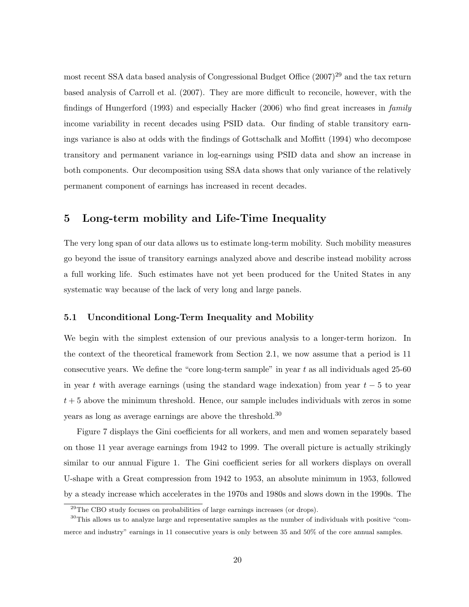most recent SSA data based analysis of Congressional Budget Office  $(2007)^{29}$  and the tax return based analysis of Carroll et al. (2007). They are more difficult to reconcile, however, with the findings of Hungerford (1993) and especially Hacker (2006) who find great increases in *family* income variability in recent decades using PSID data. Our finding of stable transitory earnings variance is also at odds with the findings of Gottschalk and Moffitt (1994) who decompose transitory and permanent variance in log-earnings using PSID data and show an increase in both components. Our decomposition using SSA data shows that only variance of the relatively permanent component of earnings has increased in recent decades.

# 5 Long-term mobility and Life-Time Inequality

The very long span of our data allows us to estimate long-term mobility. Such mobility measures go beyond the issue of transitory earnings analyzed above and describe instead mobility across a full working life. Such estimates have not yet been produced for the United States in any systematic way because of the lack of very long and large panels.

## 5.1 Unconditional Long-Term Inequality and Mobility

We begin with the simplest extension of our previous analysis to a longer-term horizon. In the context of the theoretical framework from Section 2.1, we now assume that a period is 11 consecutive years. We define the "core long-term sample" in year t as all individuals aged 25-60 in year t with average earnings (using the standard wage indexation) from year  $t - 5$  to year  $t + 5$  above the minimum threshold. Hence, our sample includes individuals with zeros in some years as long as average earnings are above the threshold.<sup>30</sup>

Figure 7 displays the Gini coefficients for all workers, and men and women separately based on those 11 year average earnings from 1942 to 1999. The overall picture is actually strikingly similar to our annual Figure 1. The Gini coefficient series for all workers displays on overall U-shape with a Great compression from 1942 to 1953, an absolute minimum in 1953, followed by a steady increase which accelerates in the 1970s and 1980s and slows down in the 1990s. The

<sup>&</sup>lt;sup>29</sup>The CBO study focuses on probabilities of large earnings increases (or drops).

<sup>30</sup>This allows us to analyze large and representative samples as the number of individuals with positive "commerce and industry" earnings in 11 consecutive years is only between 35 and 50% of the core annual samples.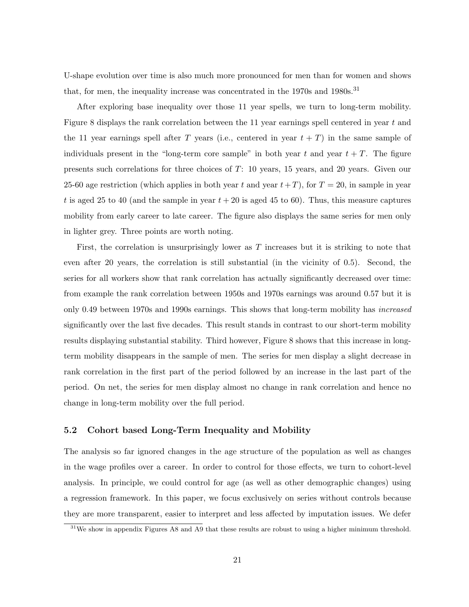U-shape evolution over time is also much more pronounced for men than for women and shows that, for men, the inequality increase was concentrated in the  $1970s$  and  $1980s$ .<sup>31</sup>

After exploring base inequality over those 11 year spells, we turn to long-term mobility. Figure 8 displays the rank correlation between the 11 year earnings spell centered in year  $t$  and the 11 year earnings spell after T years (i.e., centered in year  $t + T$ ) in the same sample of individuals present in the "long-term core sample" in both year t and year  $t + T$ . The figure presents such correlations for three choices of T: 10 years, 15 years, and 20 years. Given our 25-60 age restriction (which applies in both year t and year  $t+T$ ), for  $T = 20$ , in sample in year t is aged 25 to 40 (and the sample in year  $t + 20$  is aged 45 to 60). Thus, this measure captures mobility from early career to late career. The figure also displays the same series for men only in lighter grey. Three points are worth noting.

First, the correlation is unsurprisingly lower as T increases but it is striking to note that even after 20 years, the correlation is still substantial (in the vicinity of 0.5). Second, the series for all workers show that rank correlation has actually significantly decreased over time: from example the rank correlation between 1950s and 1970s earnings was around 0.57 but it is only 0.49 between 1970s and 1990s earnings. This shows that long-term mobility has increased significantly over the last five decades. This result stands in contrast to our short-term mobility results displaying substantial stability. Third however, Figure 8 shows that this increase in longterm mobility disappears in the sample of men. The series for men display a slight decrease in rank correlation in the first part of the period followed by an increase in the last part of the period. On net, the series for men display almost no change in rank correlation and hence no change in long-term mobility over the full period.

#### 5.2 Cohort based Long-Term Inequality and Mobility

The analysis so far ignored changes in the age structure of the population as well as changes in the wage profiles over a career. In order to control for those effects, we turn to cohort-level analysis. In principle, we could control for age (as well as other demographic changes) using a regression framework. In this paper, we focus exclusively on series without controls because they are more transparent, easier to interpret and less affected by imputation issues. We defer

<sup>&</sup>lt;sup>31</sup>We show in appendix Figures A8 and A9 that these results are robust to using a higher minimum threshold.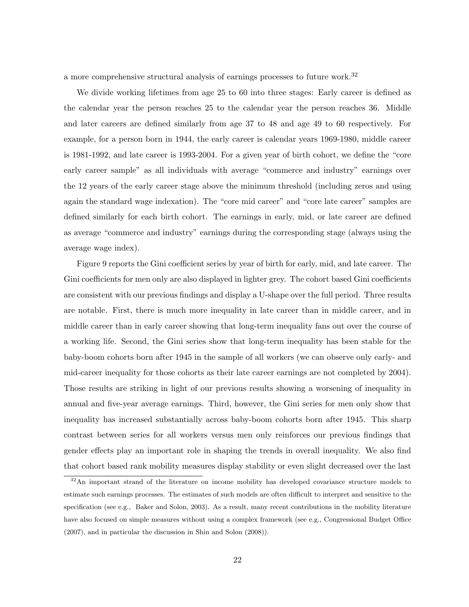a more comprehensive structural analysis of earnings processes to future work.<sup>32</sup>

We divide working lifetimes from age 25 to 60 into three stages: Early career is defined as the calendar year the person reaches 25 to the calendar year the person reaches 36. Middle and later careers are defined similarly from age 37 to 48 and age 49 to 60 respectively. For example, for a person born in 1944, the early career is calendar years 1969-1980, middle career is 1981-1992, and late career is 1993-2004. For a given year of birth cohort, we define the "core early career sample" as all individuals with average "commerce and industry" earnings over the 12 years of the early career stage above the minimum threshold (including zeros and using again the standard wage indexation). The "core mid career" and "core late career" samples are defined similarly for each birth cohort. The earnings in early, mid, or late career are defined as average "commerce and industry" earnings during the corresponding stage (always using the average wage index).

Figure 9 reports the Gini coefficient series by year of birth for early, mid, and late career. The Gini coefficients for men only are also displayed in lighter grey. The cohort based Gini coefficients are consistent with our previous findings and display a U-shape over the full period. Three results are notable. First, there is much more inequality in late career than in middle career, and in middle career than in early career showing that long-term inequality fans out over the course of a working life. Second, the Gini series show that long-term inequality has been stable for the baby-boom cohorts born after 1945 in the sample of all workers (we can observe only early- and mid-career inequality for those cohorts as their late career earnings are not completed by 2004). Those results are striking in light of our previous results showing a worsening of inequality in annual and five-year average earnings. Third, however, the Gini series for men only show that inequality has increased substantially across baby-boom cohorts born after 1945. This sharp contrast between series for all workers versus men only reinforces our previous findings that gender effects play an important role in shaping the trends in overall inequality. We also find that cohort based rank mobility measures display stability or even slight decreased over the last

<sup>&</sup>lt;sup>32</sup>An important strand of the literature on income mobility has developed covariance structure models to estimate such earnings processes. The estimates of such models are often difficult to interpret and sensitive to the specification (see e.g., Baker and Solon, 2003). As a result, many recent contributions in the mobility literature have also focused on simple measures without using a complex framework (see e.g., Congressional Budget Office (2007), and in particular the discussion in Shin and Solon (2008)).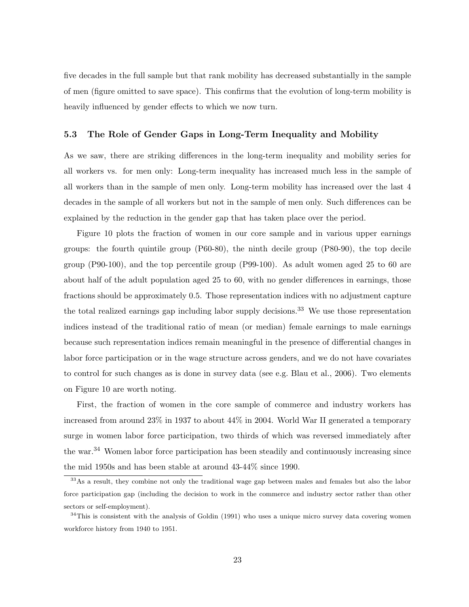five decades in the full sample but that rank mobility has decreased substantially in the sample of men (figure omitted to save space). This confirms that the evolution of long-term mobility is heavily influenced by gender effects to which we now turn.

## 5.3 The Role of Gender Gaps in Long-Term Inequality and Mobility

As we saw, there are striking differences in the long-term inequality and mobility series for all workers vs. for men only: Long-term inequality has increased much less in the sample of all workers than in the sample of men only. Long-term mobility has increased over the last 4 decades in the sample of all workers but not in the sample of men only. Such differences can be explained by the reduction in the gender gap that has taken place over the period.

Figure 10 plots the fraction of women in our core sample and in various upper earnings groups: the fourth quintile group (P60-80), the ninth decile group (P80-90), the top decile group (P90-100), and the top percentile group (P99-100). As adult women aged 25 to 60 are about half of the adult population aged 25 to 60, with no gender differences in earnings, those fractions should be approximately 0.5. Those representation indices with no adjustment capture the total realized earnings gap including labor supply decisions.<sup>33</sup> We use those representation indices instead of the traditional ratio of mean (or median) female earnings to male earnings because such representation indices remain meaningful in the presence of differential changes in labor force participation or in the wage structure across genders, and we do not have covariates to control for such changes as is done in survey data (see e.g. Blau et al., 2006). Two elements on Figure 10 are worth noting.

First, the fraction of women in the core sample of commerce and industry workers has increased from around 23% in 1937 to about 44% in 2004. World War II generated a temporary surge in women labor force participation, two thirds of which was reversed immediately after the war.<sup>34</sup> Women labor force participation has been steadily and continuously increasing since the mid 1950s and has been stable at around 43-44% since 1990.

<sup>&</sup>lt;sup>33</sup>As a result, they combine not only the traditional wage gap between males and females but also the labor force participation gap (including the decision to work in the commerce and industry sector rather than other sectors or self-employment).

<sup>&</sup>lt;sup>34</sup>This is consistent with the analysis of Goldin (1991) who uses a unique micro survey data covering women workforce history from 1940 to 1951.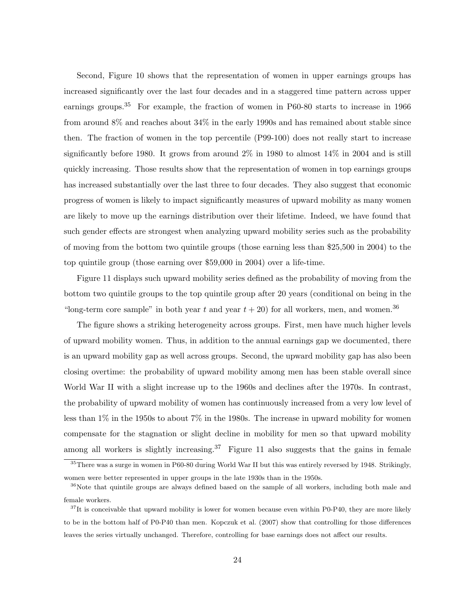Second, Figure 10 shows that the representation of women in upper earnings groups has increased significantly over the last four decades and in a staggered time pattern across upper earnings groups.<sup>35</sup> For example, the fraction of women in P60-80 starts to increase in 1966 from around 8% and reaches about 34% in the early 1990s and has remained about stable since then. The fraction of women in the top percentile (P99-100) does not really start to increase significantly before 1980. It grows from around  $2\%$  in 1980 to almost  $14\%$  in 2004 and is still quickly increasing. Those results show that the representation of women in top earnings groups has increased substantially over the last three to four decades. They also suggest that economic progress of women is likely to impact significantly measures of upward mobility as many women are likely to move up the earnings distribution over their lifetime. Indeed, we have found that such gender effects are strongest when analyzing upward mobility series such as the probability of moving from the bottom two quintile groups (those earning less than \$25,500 in 2004) to the top quintile group (those earning over \$59,000 in 2004) over a life-time.

Figure 11 displays such upward mobility series defined as the probability of moving from the bottom two quintile groups to the top quintile group after 20 years (conditional on being in the "long-term core sample" in both year t and year  $t + 20$ ) for all workers, men, and women.<sup>36</sup>

The figure shows a striking heterogeneity across groups. First, men have much higher levels of upward mobility women. Thus, in addition to the annual earnings gap we documented, there is an upward mobility gap as well across groups. Second, the upward mobility gap has also been closing overtime: the probability of upward mobility among men has been stable overall since World War II with a slight increase up to the 1960s and declines after the 1970s. In contrast, the probability of upward mobility of women has continuously increased from a very low level of less than 1% in the 1950s to about 7% in the 1980s. The increase in upward mobility for women compensate for the stagnation or slight decline in mobility for men so that upward mobility among all workers is slightly increasing.<sup>37</sup> Figure 11 also suggests that the gains in female

<sup>35</sup>There was a surge in women in P60-80 during World War II but this was entirely reversed by 1948. Strikingly, women were better represented in upper groups in the late 1930s than in the 1950s.

<sup>&</sup>lt;sup>36</sup>Note that quintile groups are always defined based on the sample of all workers, including both male and female workers.

 $37$ It is conceivable that upward mobility is lower for women because even within P0-P40, they are more likely to be in the bottom half of P0-P40 than men. Kopczuk et al. (2007) show that controlling for those differences leaves the series virtually unchanged. Therefore, controlling for base earnings does not affect our results.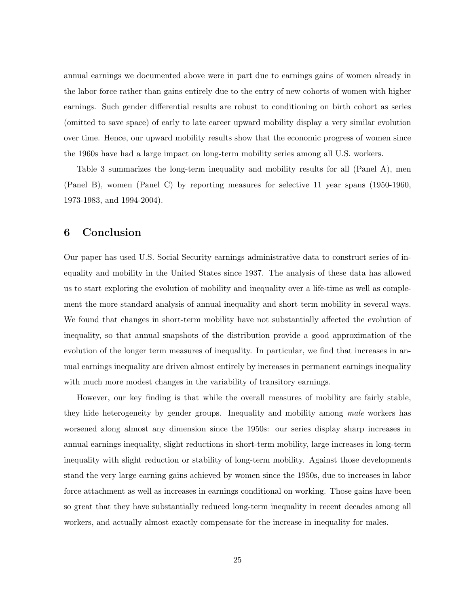annual earnings we documented above were in part due to earnings gains of women already in the labor force rather than gains entirely due to the entry of new cohorts of women with higher earnings. Such gender differential results are robust to conditioning on birth cohort as series (omitted to save space) of early to late career upward mobility display a very similar evolution over time. Hence, our upward mobility results show that the economic progress of women since the 1960s have had a large impact on long-term mobility series among all U.S. workers.

Table 3 summarizes the long-term inequality and mobility results for all (Panel A), men (Panel B), women (Panel C) by reporting measures for selective 11 year spans (1950-1960, 1973-1983, and 1994-2004).

# 6 Conclusion

Our paper has used U.S. Social Security earnings administrative data to construct series of inequality and mobility in the United States since 1937. The analysis of these data has allowed us to start exploring the evolution of mobility and inequality over a life-time as well as complement the more standard analysis of annual inequality and short term mobility in several ways. We found that changes in short-term mobility have not substantially affected the evolution of inequality, so that annual snapshots of the distribution provide a good approximation of the evolution of the longer term measures of inequality. In particular, we find that increases in annual earnings inequality are driven almost entirely by increases in permanent earnings inequality with much more modest changes in the variability of transitory earnings.

However, our key finding is that while the overall measures of mobility are fairly stable, they hide heterogeneity by gender groups. Inequality and mobility among male workers has worsened along almost any dimension since the 1950s: our series display sharp increases in annual earnings inequality, slight reductions in short-term mobility, large increases in long-term inequality with slight reduction or stability of long-term mobility. Against those developments stand the very large earning gains achieved by women since the 1950s, due to increases in labor force attachment as well as increases in earnings conditional on working. Those gains have been so great that they have substantially reduced long-term inequality in recent decades among all workers, and actually almost exactly compensate for the increase in inequality for males.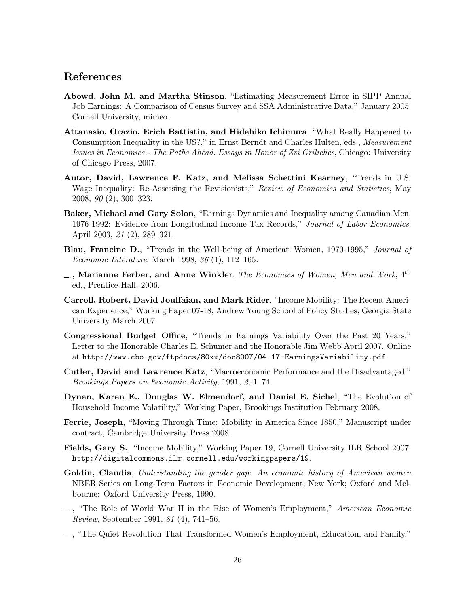## References

- Abowd, John M. and Martha Stinson, "Estimating Measurement Error in SIPP Annual Job Earnings: A Comparison of Census Survey and SSA Administrative Data," January 2005. Cornell University, mimeo.
- Attanasio, Orazio, Erich Battistin, and Hidehiko Ichimura, "What Really Happened to Consumption Inequality in the US?," in Ernst Berndt and Charles Hulten, eds., *Measurement* Issues in Economics - The Paths Ahead. Essays in Honor of Zvi Griliches, Chicago: University of Chicago Press, 2007.
- Autor, David, Lawrence F. Katz, and Melissa Schettini Kearney, "Trends in U.S. Wage Inequality: Re-Assessing the Revisionists," Review of Economics and Statistics, May 2008, 90 (2), 300–323.
- Baker, Michael and Gary Solon, "Earnings Dynamics and Inequality among Canadian Men, 1976-1992: Evidence from Longitudinal Income Tax Records," Journal of Labor Economics, April 2003, 21 (2), 289–321.
- Blau, Francine D., "Trends in the Well-being of American Women, 1970-1995," Journal of Economic Literature, March 1998, 36 (1), 112–165.
- $\overline{\phantom{a}}$ , Marianne Ferber, and Anne Winkler, The Economics of Women, Men and Work, 4<sup>th</sup> ed., Prentice-Hall, 2006.
- Carroll, Robert, David Joulfaian, and Mark Rider, "Income Mobility: The Recent American Experience," Working Paper 07-18, Andrew Young School of Policy Studies, Georgia State University March 2007.
- Congressional Budget Office, "Trends in Earnings Variability Over the Past 20 Years," Letter to the Honorable Charles E. Schumer and the Honorable Jim Webb April 2007. Online at http://www.cbo.gov/ftpdocs/80xx/doc8007/04-17-EarningsVariability.pdf.
- Cutler, David and Lawrence Katz, "Macroeconomic Performance and the Disadvantaged," Brookings Papers on Economic Activity, 1991, 2, 1–74.
- Dynan, Karen E., Douglas W. Elmendorf, and Daniel E. Sichel, "The Evolution of Household Income Volatility," Working Paper, Brookings Institution February 2008.
- Ferrie, Joseph, "Moving Through Time: Mobility in America Since 1850," Manuscript under contract, Cambridge University Press 2008.
- Fields, Gary S., "Income Mobility," Working Paper 19, Cornell University ILR School 2007. http://digitalcommons.ilr.cornell.edu/workingpapers/19.
- Goldin, Claudia, Understanding the gender gap: An economic history of American women NBER Series on Long-Term Factors in Economic Development, New York; Oxford and Melbourne: Oxford University Press, 1990.
- $\Box$ , "The Role of World War II in the Rise of Women's Employment," American Economic Review, September 1991, 81 (4), 741–56.
- , "The Quiet Revolution That Transformed Women's Employment, Education, and Family,"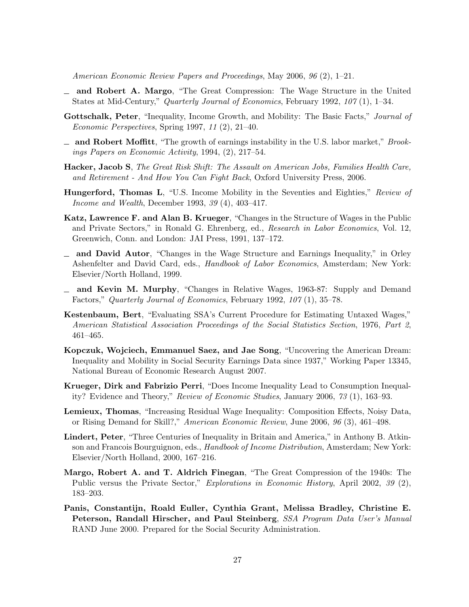American Economic Review Papers and Proceedings, May 2006, 96 (2), 1–21.

- and Robert A. Margo, "The Great Compression: The Wage Structure in the United States at Mid-Century," Quarterly Journal of Economics, February 1992, 107 (1), 1–34.
- Gottschalk, Peter, "Inequality, Income Growth, and Mobility: The Basic Facts," Journal of Economic Perspectives, Spring 1997, 11 (2), 21–40.
- and Robert Moffitt, "The growth of earnings instability in the U.S. labor market," Brookings Papers on Economic Activity, 1994, (2), 217–54.
- Hacker, Jacob S, The Great Risk Shift: The Assault on American Jobs, Families Health Care, and Retirement - And How You Can Fight Back, Oxford University Press, 2006.
- Hungerford, Thomas L, "U.S. Income Mobility in the Seventies and Eighties," Review of Income and Wealth, December 1993, 39 (4), 403–417.
- Katz, Lawrence F. and Alan B. Krueger, "Changes in the Structure of Wages in the Public and Private Sectors," in Ronald G. Ehrenberg, ed., Research in Labor Economics, Vol. 12, Greenwich, Conn. and London: JAI Press, 1991, 137–172.
- and David Autor, "Changes in the Wage Structure and Earnings Inequality," in Orley Ashenfelter and David Card, eds., Handbook of Labor Economics, Amsterdam; New York: Elsevier/North Holland, 1999.
- $\equiv$  and Kevin M. Murphy, "Changes in Relative Wages, 1963-87: Supply and Demand Factors," Quarterly Journal of Economics, February 1992, 107 (1), 35–78.
- Kestenbaum, Bert, "Evaluating SSA's Current Procedure for Estimating Untaxed Wages," American Statistical Association Proceedings of the Social Statistics Section, 1976, Part 2, 461–465.
- Kopczuk, Wojciech, Emmanuel Saez, and Jae Song, "Uncovering the American Dream: Inequality and Mobility in Social Security Earnings Data since 1937," Working Paper 13345, National Bureau of Economic Research August 2007.
- Krueger, Dirk and Fabrizio Perri, "Does Income Inequality Lead to Consumption Inequality? Evidence and Theory," Review of Economic Studies, January 2006, 73 (1), 163–93.
- Lemieux, Thomas, "Increasing Residual Wage Inequality: Composition Effects, Noisy Data, or Rising Demand for Skill?," American Economic Review, June 2006, 96 (3), 461–498.
- Lindert, Peter, "Three Centuries of Inequality in Britain and America," in Anthony B. Atkinson and Francois Bourguignon, eds., Handbook of Income Distribution, Amsterdam; New York: Elsevier/North Holland, 2000, 167–216.
- Margo, Robert A. and T. Aldrich Finegan, "The Great Compression of the 1940s: The Public versus the Private Sector," *Explorations in Economic History*, April 2002, 39 (2), 183–203.
- Panis, Constantijn, Roald Euller, Cynthia Grant, Melissa Bradley, Christine E. Peterson, Randall Hirscher, and Paul Steinberg, SSA Program Data User's Manual RAND June 2000. Prepared for the Social Security Administration.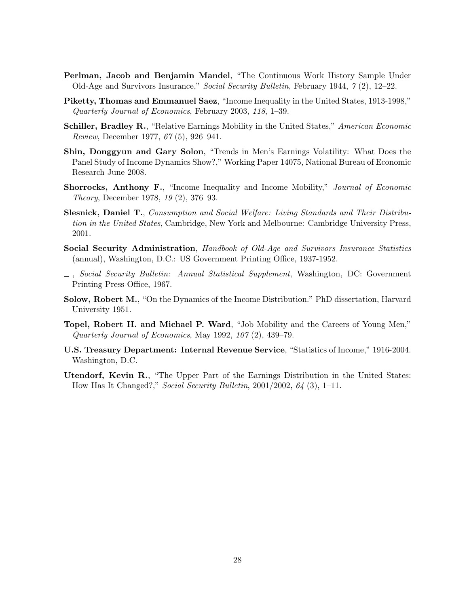- Perlman, Jacob and Benjamin Mandel, "The Continuous Work History Sample Under Old-Age and Survivors Insurance," Social Security Bulletin, February 1944, 7 (2), 12–22.
- Piketty, Thomas and Emmanuel Saez, "Income Inequality in the United States, 1913-1998," Quarterly Journal of Economics, February 2003, 118, 1–39.
- **Schiller, Bradley R.**, "Relative Earnings Mobility in the United States," American Economic Review, December 1977, 67 (5), 926–941.
- Shin, Donggyun and Gary Solon, "Trends in Men's Earnings Volatility: What Does the Panel Study of Income Dynamics Show?," Working Paper 14075, National Bureau of Economic Research June 2008.
- Shorrocks, Anthony F., "Income Inequality and Income Mobility," Journal of Economic Theory, December 1978, 19 (2), 376–93.
- Slesnick, Daniel T., Consumption and Social Welfare: Living Standards and Their Distribution in the United States, Cambridge, New York and Melbourne: Cambridge University Press, 2001.
- Social Security Administration, Handbook of Old-Age and Survivors Insurance Statistics (annual), Washington, D.C.: US Government Printing Office, 1937-1952.
- , Social Security Bulletin: Annual Statistical Supplement, Washington, DC: Government Printing Press Office, 1967.
- Solow, Robert M., "On the Dynamics of the Income Distribution." PhD dissertation, Harvard University 1951.
- Topel, Robert H. and Michael P. Ward, "Job Mobility and the Careers of Young Men," Quarterly Journal of Economics, May 1992, 107 (2), 439–79.
- U.S. Treasury Department: Internal Revenue Service, "Statistics of Income," 1916-2004. Washington, D.C.
- Utendorf, Kevin R., "The Upper Part of the Earnings Distribution in the United States: How Has It Changed?," Social Security Bulletin, 2001/2002, 64 (3), 1–11.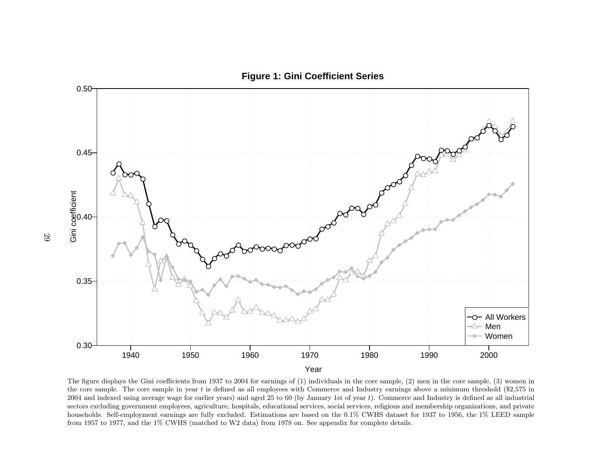

The figure displays the Gini coefficients from <sup>1937</sup> to <sup>2004</sup> for earnings of (1) individuals in the core sample, (2) men in the core sample, (3) women inthe core sample. The core sample in year t is defined as all employees with Commerce and Industry earnings above a minimum threshold  $$2,575$  in  $2004$  and indexed using average wage for earlier years) and aged  $25$  to  $60$  (by January 1st of year  $t$ ). Commerce and Industry is defined as all industrial sectors excluding government employees, agriculture, hospitals, educational services, social services, religious and membership organizations, and private households. Self-employment earnings are fully excluded. Estimations are based on the 0.1% CWHS dataset for 1937 to 1956, the 1% LEED samplefrom <sup>1957</sup> to 1977, and the 1% CWHS (matched to W2 data) from <sup>1978</sup> on. See appendix for complete details.

## **Figure 1: Gini Coefficient Series**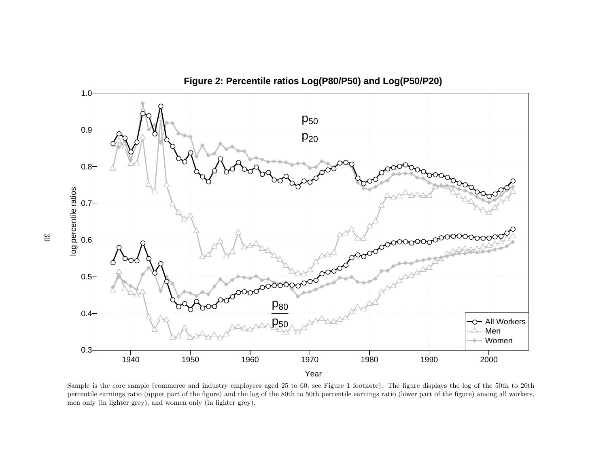

Sample is the core sample (commerce and industry employees aged <sup>25</sup> to 60, see Figure <sup>1</sup> footnote). The figure displays the log of the 50th to 20th percentile earnings ratio (upper part of the figure) and the log of the 80th to 50th percentile earnings ratio (lower part of the figure) among all workers,men only (in lighter grey), and women only (in lighter grey).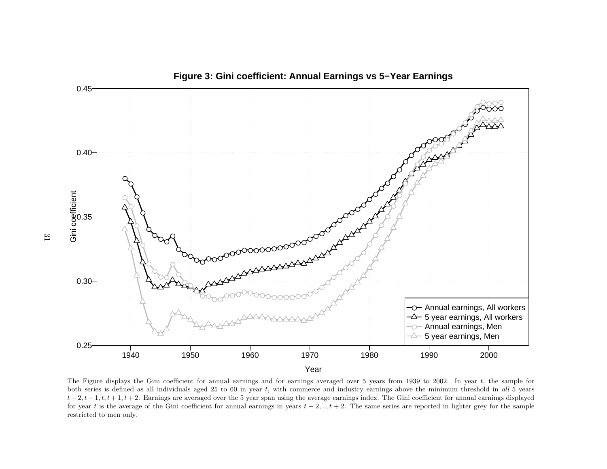

The Figure displays the Gini coefficient for annual earnings and for earnings averaged over 5 years from 1939 to 2002. In year <sup>t</sup>, the sample for both series is defined as all individuals aged 25 to 60 in year t, with commerce and industry earnings above the minimum threshold in all 5 years  $t-2, t-1, t, t+1, t+2$ . Earnings are averaged over the 5 year span using the average earnings index. The Gini coefficient for annual earnings displayed for year t is the average of the Gini coefficient for annual earnings in years  $t - 2, \ldots, t + 2$ . The same series are reported in lighter grey for the sample restricted to men only.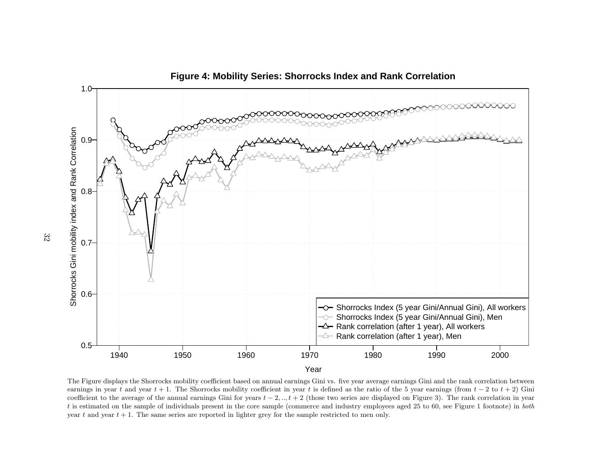

The Figure displays the Shorrocks mobility coefficient based on annual earnings Gini vs. five year average earnings Gini and the rank correlation betweenearnings in year t and year  $t + 1$ . The Shorrocks mobility coefficient in year t is defined as the ratio of the 5 year earnings (from  $t - 2$  to  $t + 2$ ) Gin earnings in year t and year t + 1. The Shorrocks mobility coefficient in year t is defined as the ratio of the 5 year earnings (from  $t - 2$  to  $t + 2$ ) Gini coefficient to the average of the annual earnings Gini for years t is estimated on the sample of individuals present in the core sample (commerce and industry employees aged <sup>25</sup> to 60, see Figure <sup>1</sup> footnote) in both year t and year  $t + 1$ . The same series are reported in lighter grey for the sample restricted to men only.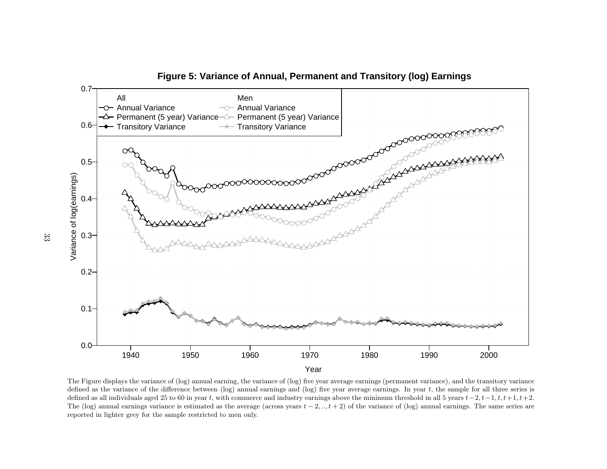

The Figure displays the variance of (log) annual earning, the variance of (log) five year average earnings (permanent variance), and the transitory variancedefined as the variance of the difference between (log) annual earnings and (log) five year average earnings. In year  $t$ , the sample for all three series is defined as all individuals aged 25 to 60 in year t, with commerce and industry earnings above the minimum threshold in all 5 years  $t-2$ ,  $t-1$ ,  $t$ ,  $t+1$ ,  $t+2$ . The (log) annual earnings variance is estimated as the average (across years  $t - 2, ..., t + 2$ ) of the variance of (log) annual earnings. The same series are reported in lighter grey for the sample restricted to men only.

**Figure 5: Variance of Annual, Permanent and Transitory (log) Earnings**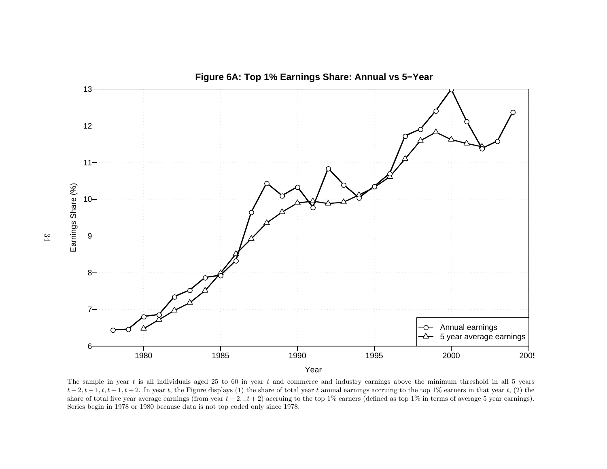

The sample in year t is all individuals aged 25 to 60 in year t and commerce and industry earnings above the minimum threshold in all 5 years  $t-2, t-1, t, t+1, t+2$ . In year t, the Figure displays (1) the share of total year t annual earnings accruing to the top 1% earners in that year t, (2) the share of total five year average earnings (from year  $t - 2, t + 2$ ) accruing to the top 1% earners (defined as top 1% in terms of average 5 year earnings). Series begin in 1978 or 1980 because data is not top coded only since 1978.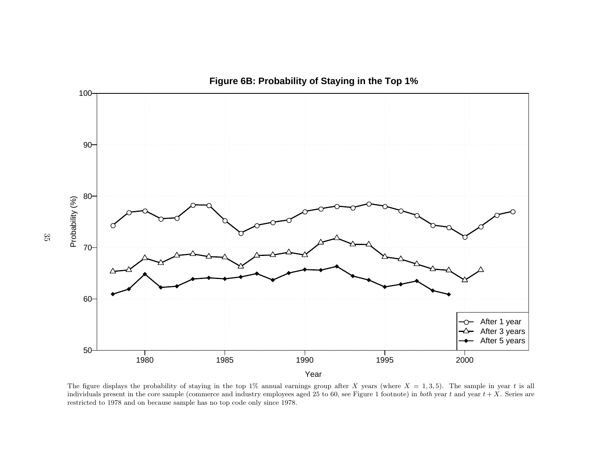

The figure displays the probability of staying in the top 1% annual earnings group after X years (where  $X = 1, 3, 5$ ). The sample in year t is all<br>individuals present in the same sample (separates and industry employees a individuals present in the core sample (commerce and industry employees aged 25 to 60, see Figure 1 footnote) in *both* year t and year  $t + X$ . Series are restricted to 1978 and on because sample has no top code only since 1978.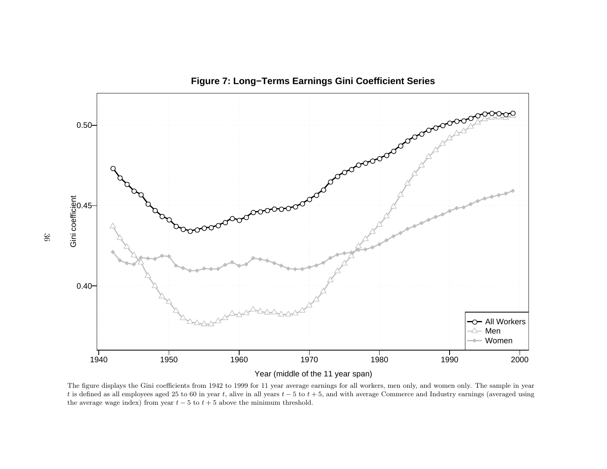

**Figure 7: Long−Terms Earnings Gini Coefficient Series**

The figure displays the Gini coefficients from 1942 to 1999 for 11 year average earnings for all workers, men only, and women only. The sample in yeart is defined as all employees aged 25 to 60 in year t, alive in all years  $t - 5$  to  $t + 5$ , and with average Commerce and Industry earnings (averaged using the average wage index) from year  $t-5$  to  $t+5$  above the minimum threshold.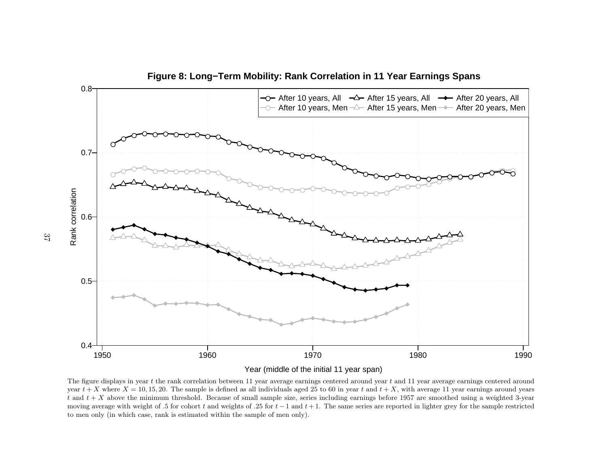

Year (middle of the initial 11 year span)

The figure displays in year  $t$  the rank correlation between 11 year average earnings centered around year  $t$  and 11 year average earnings centered around year  $t + X$  where  $X = 10, 15, 20$ . The sample is defined as all individuals aged 25 to 60 in year  $t$  and  $t + X$ , with average 11 year earnings around years to all the state of small sample size, series including earnings b  $t$  and  $t + X$ t and  $t + X$  above the minimum threshold. Because of small sample size, series including earnings before 1957 are smoothed using a weighted 3-year<br>moving average with weight of .5 for cohort t and weights of .25 for  $t - 1$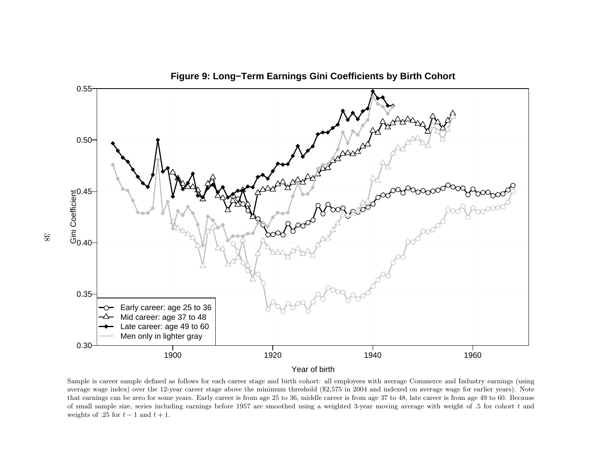

Sample is career sample defined as follows for each career stage and birth cohort: all employees with average Commerce and Industry earnings (using average wage index) over the 12-year career stage above the minimum threshold (\$2,575 in <sup>2004</sup> and indexed on average wage for earlier years). Note that earnings can be zero for some years. Early career is from age 25 to 36, middle career is from age 37 to 48, late career is from age 49 to 60. Becauseof small sample size, series including earnings before 1957 are smoothed using a weighted 3-year moving average with weight of  $.5$  for cohort  $t$  and weights of .25 for  $t-1$  and  $t+1$ .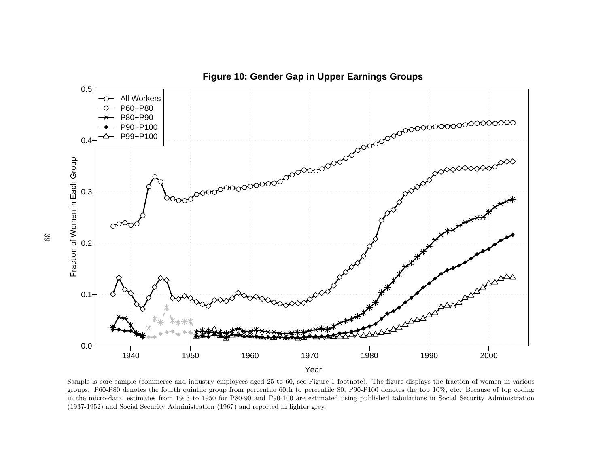

Sample is core sample (commerce and industry employees aged <sup>25</sup> to 60, see Figure <sup>1</sup> footnote). The figure displays the fraction of women in various groups. P60-P80 denotes the fourth quintile group from percentile 60th to percentile 80, P90-P100 denotes the top 10%, etc. Because of top coding in the micro-data, estimates from 1943 to 1950 for P80-90 and P90-100 are estimated using published tabulations in Social Security Administration(1937-1952) and Social Security Administration (1967) and reported in lighter grey.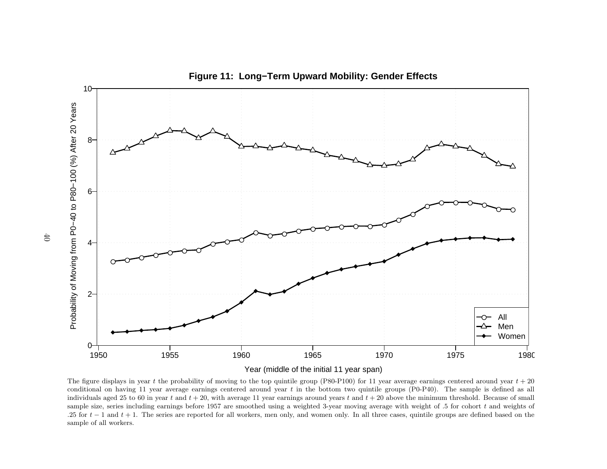

The figure displays in year t the probability of moving to the top quintile group (P80-P100) for 11 year average earnings centered around year  $t + 20$ conditional on having 11 year average earnings centered around year  $t$  in the bottom two quintile groups (P0-P40). The sample is defined as all individuals aged 25 to 60 in year t and  $t + 20$ , with average 11 year earnings around years t and  $t + 20$  above the minimum threshold. Because of small sample size, series including earnings before 1957 are smoothed using a weighted 3-year moving average with weight of .5 for cohort  $t$  and weights of .25 for t − 1 and t + 1. The series are reported for all workers, men only, and women only. In all three cases, quintile groups are defined based on the series are reported for all workers, men only, and women only. In al sample of all workers.

**Figure 11: Long−Term Upward Mobility: Gender Effects**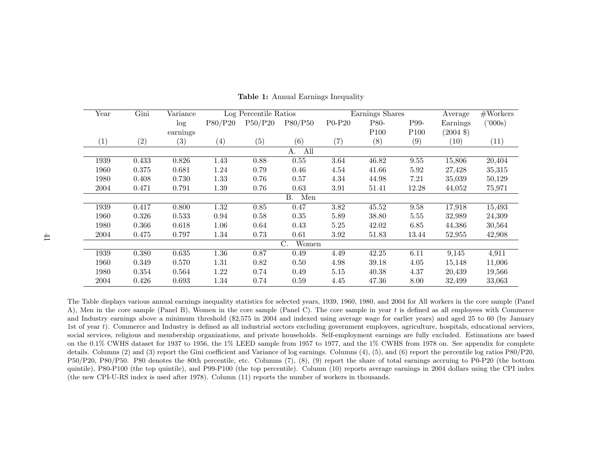| Year              | Gini  | Variance          |                   | Log Percentile Ratios |                  |          | Earnings Shares  |                  | Average             | #Works  |
|-------------------|-------|-------------------|-------------------|-----------------------|------------------|----------|------------------|------------------|---------------------|---------|
|                   |       | log               | P80/P20           | P50/P20               | P80/P50          | P0-P20   | P80-             | P99-             | Earnings            | ('000s) |
|                   |       | earnings          |                   |                       |                  |          | P <sub>100</sub> | P <sub>100</sub> | $(2004 \text{ } $)$ |         |
| $\left( 1\right)$ | (2)   | $\left( 3\right)$ | $\left( 4\right)$ | (5)                   | (6)              | (7)      | (8)              | (9)              | (10)                | (11)    |
|                   |       |                   |                   |                       | All<br>A.        |          |                  |                  |                     |         |
| 1939              | 0.433 | 0.826             | 1.43              | 0.88                  | $0.55\,$         | $3.64\,$ | 46.82            | 9.55             | 15,806              | 20,404  |
| 1960              | 0.375 | 0.681             | 1.24              | 0.79                  | 0.46             | 4.54     | 41.66            | 5.92             | 27,428              | 35,315  |
| 1980              | 0.408 | 0.730             | 1.33              | 0.76                  | 0.57             | 4.34     | 44.98            | 7.21             | 35,039              | 50,129  |
| 2004              | 0.471 | 0.791             | 1.39              | 0.76                  | 0.63             | 3.91     | 51.41            | 12.28            | 44,052              | 75,971  |
|                   |       |                   |                   |                       | <b>B.</b><br>Men |          |                  |                  |                     |         |
| 1939              | 0.417 | 0.800             | $1.32\,$          | 0.85                  | 0.47             | $3.82\,$ | 45.52            | 9.58             | 17,918              | 15,493  |
| 1960              | 0.326 | 0.533             | 0.94              | 0.58                  | 0.35             | $5.89\,$ | 38.80            | 5.55             | 32,989              | 24,309  |
| 1980              | 0.366 | 0.618             | 1.06              | 0.64                  | 0.43             | 5.25     | 42.02            | 6.85             | 44,386              | 30,564  |
| 2004              | 0.475 | 0.797             | 1.34              | 0.73                  | 0.61             | 3.92     | 51.83            | 13.44            | 52,955              | 42,908  |
|                   |       |                   |                   |                       | Women<br>C.      |          |                  |                  |                     |         |
| 1939              | 0.380 | 0.635             | 1.36              | 0.87                  | 0.49             | 4.49     | 42.25            | 6.11             | 9,145               | 4,911   |
| 1960              | 0.349 | 0.570             | 1.31              | 0.82                  | 0.50             | 4.98     | 39.18            | 4.05             | 15,148              | 11,006  |
| 1980              | 0.354 | 0.564             | 1.22              | 0.74                  | 0.49             | 5.15     | 40.38            | 4.37             | 20,439              | 19,566  |
| 2004              | 0.426 | 0.693             | 1.34              | 0.74                  | 0.59             | 4.45     | 47.36            | 8.00             | 32,499              | 33,063  |

Table 1: Annual Earnings Inequality

The Table displays various annual earnings inequality statistics for selected years, 1939, 1960, 1980, and <sup>2004</sup> for All workers in the core sample (PanelA), Men in the core sample (Panel B), Women in the core sample (Panel C). The core sample in year  $t$  is defined as all employees with Commerce and Industry earnings above <sup>a</sup> minimum threshold (\$2,575 in <sup>2004</sup> and indexed using average wage for earlier years) and aged <sup>25</sup> to <sup>60</sup> (by January 1st of year <sup>t</sup>). Commerce and Industry is defined as all industrial sectors excluding government employees, agriculture, hospitals, educational services, social services, religious and membership organizations, and private households. Self-employment earnings are fully excluded. Estimations are based on the 0.1% CWHS dataset for 1937 to 1956, the 1% LEED sample from 1957 to 1977, and the 1% CWHS from 1978 on. See appendix for complete details. Columns (2) and (3) report the Gini coefficient and Variance of log earnings. Columns (4), (5), and (6) report the percentile log ratios P80/P20, P50/P20, P80/P50. P80 denotes the 80th percentile, etc. Columns (7), (8), (9) report the share of total earnings accruing to P0-P20 (the bottom quintile), P80-P100 (the top quintile), and P99-P100 (the top percentile). Column (10) reports average earnings in <sup>2004</sup> dollars using the CPI index(the new CPI-U-RS index is used after 1978). Column (11) reports the number of workers in thousands.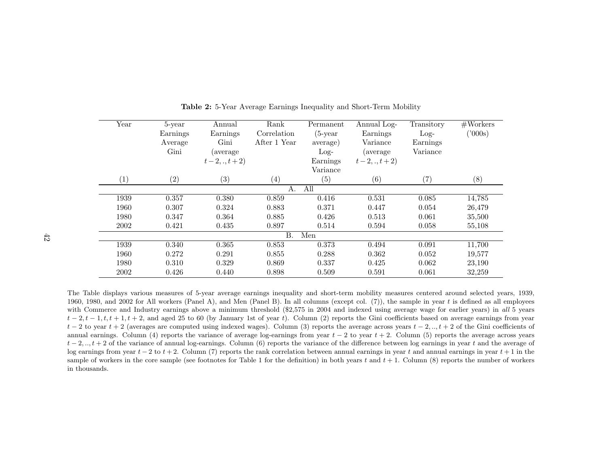|                  | Year      | 5-year   | Annual             | Rank              | Permanent  | Annual Log-        | Transitory | #Works  |  |  |
|------------------|-----------|----------|--------------------|-------------------|------------|--------------------|------------|---------|--|--|
|                  |           | Earnings | Earnings           | Correlation       | $(5$ -year | Earnings           | $Log-$     | ('000s) |  |  |
|                  |           | Average  | Gini               | After 1 Year      | average)   | Variance           | Earnings   |         |  |  |
|                  |           | Gini     | (average           |                   | $Log-$     | <i>(average)</i>   | Variance   |         |  |  |
|                  |           |          | $t-2, \ldots t+2)$ |                   | Earnings   | $t-2, \ldots t+2)$ |            |         |  |  |
|                  |           |          |                    |                   | Variance   |                    |            |         |  |  |
|                  | (1)       | (2)      | (3)                | $\left( 4\right)$ | (5)        | (6)                | (7)        | (8)     |  |  |
|                  | All<br>Α. |          |                    |                   |            |                    |            |         |  |  |
|                  | 1939      | 0.357    | 0.380              | 0.859             | 0.416      | 0.531              | 0.085      | 14,785  |  |  |
|                  | 1960      | 0.307    | 0.324              | 0.883             | 0.371      | 0.447              | 0.054      | 26,479  |  |  |
|                  | 1980      | 0.347    | 0.364              | 0.885             | 0.426      | 0.513              | 0.061      | 35,500  |  |  |
|                  | 2002      | 0.421    | 0.435              | 0.897             | 0.514      | 0.594              | 0.058      | 55,108  |  |  |
| <b>B.</b><br>Men |           |          |                    |                   |            |                    |            |         |  |  |
|                  | 1939      | 0.340    | 0.365              | 0.853             | 0.373      | 0.494              | 0.091      | 11,700  |  |  |
|                  | 1960      | 0.272    | 0.291              | 0.855             | 0.288      | 0.362              | 0.052      | 19,577  |  |  |
|                  | 1980      | 0.310    | 0.329              | 0.869             | 0.337      | 0.425              | 0.062      | 23,190  |  |  |
|                  | 2002      | 0.426    | 0.440              | 0.898             | 0.509      | 0.591              | 0.061      | 32,259  |  |  |

Table 2: 5-Year Average Earnings Inequality and Short-Term Mobility

The Table displays various measures of 5-year average earnings inequality and short-term mobility measures centered around selected years, 1939,1960, 1980, and 2002 for All workers (Panel A), and Men (Panel B). In all columns (except col.  $(7)$ ), the sample in year t is defined as all employees with Commerce and Industry earnings above a minimum threshold (\$2,575 in 2004 and indexed using average wage for earlier years) in all 5 years  $t-2, t-1, t, t+1, t+2$ , and aged 25 to 60 (by January 1st of year t). Column (2) reports the Gini coefficients based on average earnings from year  $t-2$  to year  $t+2$  (averages are computed using indexed wages). Column (3) reports the average across years  $t-2, ..., t+2$  of the Gini coefficients of annual earnings. Column (4) reports the variance of average log-earnings from year  $t - 2$  to year  $t + 2$ . Column (5) reports the average across years  $t-2, ..., t+2$  of the variance of annual log-earnings. Column (6) reports the variance of the difference between log earnings in year t and the average of log earnings from year  $t - 2$  to  $t + 2$ . Column (7) reports the rank correlation between annual earnings in year t and annual earnings in year t + 1 in the sample of workers in the core sample (see footnotes for Table 1 for the definition) in both years t and  $t + 1$ . Column (8) reports the number of workers in thousands.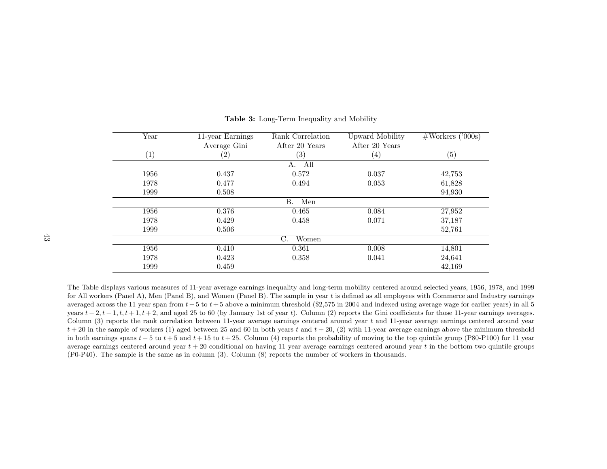| Year              | 11-year Earnings  | Rank Correlation  | Upward Mobility   | $\#\text{Works}$ ('000s) |  |
|-------------------|-------------------|-------------------|-------------------|--------------------------|--|
|                   | Average Gini      | After 20 Years    | After 20 Years    |                          |  |
| $\left( 1\right)$ | $\left( 2\right)$ | $\left( 3\right)$ | $\left( 4\right)$ | (5)                      |  |
|                   |                   | All<br>А.         |                   |                          |  |
| 1956              | 0.437             | 0.572             | 0.037             | 42,753                   |  |
| 1978              | 0.477             | 0.494             | 0.053             | 61,828                   |  |
| 1999              | 0.508             |                   |                   | 94,930                   |  |
|                   |                   | В.<br>Men         |                   |                          |  |
| 1956              | 0.376             | 0.465             | 0.084             | 27,952                   |  |
| 1978              | 0.429             | 0.458             | 0.071             | 37,187                   |  |
| 1999              | 0.506             |                   |                   | 52,761                   |  |
|                   |                   | C.<br>Women       |                   |                          |  |
| 1956              | 0.410             | 0.361             | 0.008             | 14,801                   |  |
| 1978              | 0.423             | 0.358             | 0.041             | 24,641                   |  |
| 1999              | 0.459             |                   |                   | 42,169                   |  |

Table 3: Long-Term Inequality and Mobility

The Table displays various measures of 11-year average earnings inequality and long-term mobility centered around selected years, 1956, 1978, and 1999for All workers (Panel A), Men (Panel B), and Women (Panel B). The sample in year  $t$  is defined as all employees with Commerce and Industry earnings averaged across the 11 year span from  $t-5$  to  $t+5$  above a minimum threshold (\$2,575 in 2004 and indexed using average wage for earlier years) in all 5 and and  $2t+1$ ,  $t+1$ ,  $t+2$ , and and  $25$  to  $60$  (by January 1st years  $t-2$ ,  $t-1$ ,  $t$ ,  $t+1$ ,  $t+2$ , and aged 25 to 60 (by January 1st of year t). Column (2) reports the Gini coefficients for those 11-year earnings averages. Column (3) reports the rank correlation between 11-year average earnings centered around year  $t$  and 11-year average earnings centered around year  $t + 20$  in the sample of workers (1) aged between 25 and 60 in both years t and  $t + 20$ , (2) with 11-year average earnings above the minimum threshold in both earnings spans  $t - 5$  to  $t + 5$  and  $t + 15$  to  $t + 25$ . Column (4) reports the probability of moving to the top quintile group (P80-P100) for 11 year average earnings centered around year  $t + 20$  conditional on having 11 year average earnings centered around year  $t$  in the bottom two quintile groups (P0-P40). The sample is the same as in column (3). Column (8) reports the number of workers in thousands.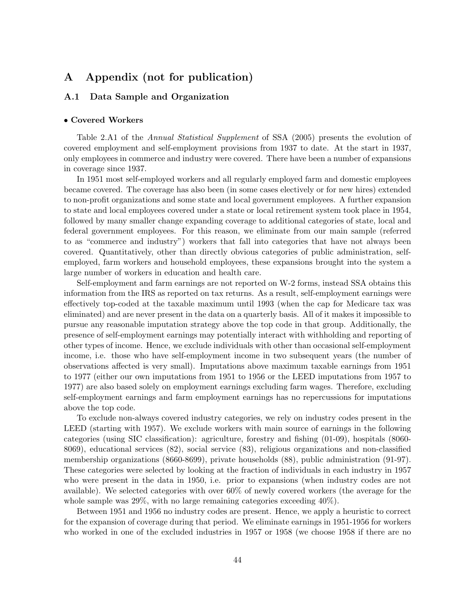# A Appendix (not for publication)

## A.1 Data Sample and Organization

#### • Covered Workers

Table 2.A1 of the Annual Statistical Supplement of SSA (2005) presents the evolution of covered employment and self-employment provisions from 1937 to date. At the start in 1937, only employees in commerce and industry were covered. There have been a number of expansions in coverage since 1937.

In 1951 most self-employed workers and all regularly employed farm and domestic employees became covered. The coverage has also been (in some cases electively or for new hires) extended to non-profit organizations and some state and local government employees. A further expansion to state and local employees covered under a state or local retirement system took place in 1954, followed by many smaller change expanding coverage to additional categories of state, local and federal government employees. For this reason, we eliminate from our main sample (referred to as "commerce and industry") workers that fall into categories that have not always been covered. Quantitatively, other than directly obvious categories of public administration, selfemployed, farm workers and household employees, these expansions brought into the system a large number of workers in education and health care.

Self-employment and farm earnings are not reported on W-2 forms, instead SSA obtains this information from the IRS as reported on tax returns. As a result, self-employment earnings were effectively top-coded at the taxable maximum until 1993 (when the cap for Medicare tax was eliminated) and are never present in the data on a quarterly basis. All of it makes it impossible to pursue any reasonable imputation strategy above the top code in that group. Additionally, the presence of self-employment earnings may potentially interact with withholding and reporting of other types of income. Hence, we exclude individuals with other than occasional self-employment income, i.e. those who have self-employment income in two subsequent years (the number of observations affected is very small). Imputations above maximum taxable earnings from 1951 to 1977 (either our own imputations from 1951 to 1956 or the LEED imputations from 1957 to 1977) are also based solely on employment earnings excluding farm wages. Therefore, excluding self-employment earnings and farm employment earnings has no repercussions for imputations above the top code.

To exclude non-always covered industry categories, we rely on industry codes present in the LEED (starting with 1957). We exclude workers with main source of earnings in the following categories (using SIC classification): agriculture, forestry and fishing (01-09), hospitals (8060- 8069), educational services (82), social service (83), religious organizations and non-classified membership organizations (8660-8699), private households (88), public administration (91-97). These categories were selected by looking at the fraction of individuals in each industry in 1957 who were present in the data in 1950, i.e. prior to expansions (when industry codes are not available). We selected categories with over 60% of newly covered workers (the average for the whole sample was 29%, with no large remaining categories exceeding 40%).

Between 1951 and 1956 no industry codes are present. Hence, we apply a heuristic to correct for the expansion of coverage during that period. We eliminate earnings in 1951-1956 for workers who worked in one of the excluded industries in 1957 or 1958 (we choose 1958 if there are no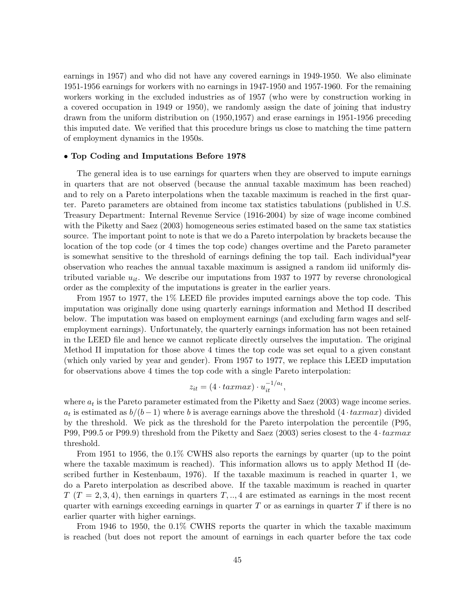earnings in 1957) and who did not have any covered earnings in 1949-1950. We also eliminate 1951-1956 earnings for workers with no earnings in 1947-1950 and 1957-1960. For the remaining workers working in the excluded industries as of 1957 (who were by construction working in a covered occupation in 1949 or 1950), we randomly assign the date of joining that industry drawn from the uniform distribution on (1950,1957) and erase earnings in 1951-1956 preceding this imputed date. We verified that this procedure brings us close to matching the time pattern of employment dynamics in the 1950s.

#### • Top Coding and Imputations Before 1978

The general idea is to use earnings for quarters when they are observed to impute earnings in quarters that are not observed (because the annual taxable maximum has been reached) and to rely on a Pareto interpolations when the taxable maximum is reached in the first quarter. Pareto parameters are obtained from income tax statistics tabulations (published in U.S. Treasury Department: Internal Revenue Service (1916-2004) by size of wage income combined with the Piketty and Saez (2003) homogeneous series estimated based on the same tax statistics source. The important point to note is that we do a Pareto interpolation by brackets because the location of the top code (or 4 times the top code) changes overtime and the Pareto parameter is somewhat sensitive to the threshold of earnings defining the top tail. Each individual\*year observation who reaches the annual taxable maximum is assigned a random iid uniformly distributed variable  $u_{it}$ . We describe our imputations from 1937 to 1977 by reverse chronological order as the complexity of the imputations is greater in the earlier years.

From 1957 to 1977, the 1% LEED file provides imputed earnings above the top code. This imputation was originally done using quarterly earnings information and Method II described below. The imputation was based on employment earnings (and excluding farm wages and selfemployment earnings). Unfortunately, the quarterly earnings information has not been retained in the LEED file and hence we cannot replicate directly ourselves the imputation. The original Method II imputation for those above 4 times the top code was set equal to a given constant (which only varied by year and gender). From 1957 to 1977, we replace this LEED imputation for observations above 4 times the top code with a single Pareto interpolation:

$$
z_{it} = (4 \cdot taxmax) \cdot u_{it}^{-1/a_t},
$$

where  $a_t$  is the Pareto parameter estimated from the Piketty and Saez (2003) wage income series.  $a_t$  is estimated as  $b/(b-1)$  where b is average earnings above the threshold  $(4 \cdot taxmax)$  divided by the threshold. We pick as the threshold for the Pareto interpolation the percentile (P95, P99, P99.5 or P99.9) threshold from the Piketty and Saez (2003) series closest to the  $4 \cdot tarmax$ threshold.

From 1951 to 1956, the 0.1% CWHS also reports the earnings by quarter (up to the point where the taxable maximum is reached). This information allows us to apply Method II (described further in Kestenbaum, 1976). If the taxable maximum is reached in quarter 1, we do a Pareto interpolation as described above. If the taxable maximum is reached in quarter  $T(T = 2, 3, 4)$ , then earnings in quarters  $T, \ldots, 4$  are estimated as earnings in the most recent quarter with earnings exceeding earnings in quarter  $T$  or as earnings in quarter  $T$  if there is no earlier quarter with higher earnings.

From 1946 to 1950, the 0.1% CWHS reports the quarter in which the taxable maximum is reached (but does not report the amount of earnings in each quarter before the tax code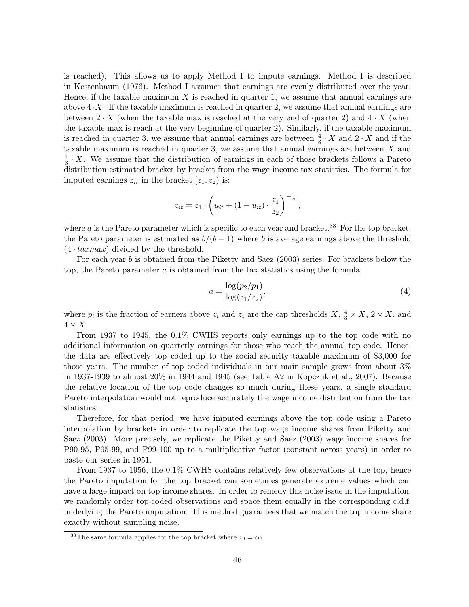is reached). This allows us to apply Method I to impute earnings. Method I is described in Kestenbaum (1976). Method I assumes that earnings are evenly distributed over the year. Hence, if the taxable maximum  $X$  is reached in quarter 1, we assume that annual earnings are above  $4 \cdot X$ . If the taxable maximum is reached in quarter 2, we assume that annual earnings are between  $2 \cdot X$  (when the taxable max is reached at the very end of quarter 2) and  $4 \cdot X$  (when the taxable max is reach at the very beginning of quarter 2). Similarly, if the taxable maximum is reached in quarter 3, we assume that annual earnings are between  $\frac{4}{3} \cdot X$  and  $2 \cdot X$  and if the taxable maximum is reached in quarter 3, we assume that annual earnings are between  $X$  and 4  $\frac{4}{3} \cdot X$ . We assume that the distribution of earnings in each of those brackets follows a Pareto distribution estimated bracket by bracket from the wage income tax statistics. The formula for imputed earnings  $z_{it}$  in the bracket  $[z_1, z_2]$  is:

$$
z_{it} = z_1 \cdot \left( u_{it} + (1 - u_{it}) \cdot \frac{z_1}{z_2} \right)^{-\frac{1}{a}},
$$

where  $a$  is the Pareto parameter which is specific to each year and bracket.<sup>38</sup> For the top bracket, the Pareto parameter is estimated as  $b/(b-1)$  where b is average earnings above the threshold  $(4 \cdot taxmax)$  divided by the threshold.

For each year b is obtained from the Piketty and Saez (2003) series. For brackets below the top, the Pareto parameter  $a$  is obtained from the tax statistics using the formula:

$$
a = \frac{\log(p_2/p_1)}{\log(z_1/z_2)},
$$
\n(4)

where  $p_i$  is the fraction of earners above  $z_i$  and  $z_i$  are the cap thresholds  $X, \frac{4}{3} \times X, 2 \times X$ , and  $4 \times X$ .

From 1937 to 1945, the 0.1% CWHS reports only earnings up to the top code with no additional information on quarterly earnings for those who reach the annual top code. Hence, the data are effectively top coded up to the social security taxable maximum of \$3,000 for those years. The number of top coded individuals in our main sample grows from about 3% in 1937-1939 to almost 20% in 1944 and 1945 (see Table A2 in Kopczuk et al., 2007). Because the relative location of the top code changes so much during these years, a single standard Pareto interpolation would not reproduce accurately the wage income distribution from the tax statistics.

Therefore, for that period, we have imputed earnings above the top code using a Pareto interpolation by brackets in order to replicate the top wage income shares from Piketty and Saez (2003). More precisely, we replicate the Piketty and Saez (2003) wage income shares for P90-95, P95-99, and P99-100 up to a multiplicative factor (constant across years) in order to paste our series in 1951.

From 1937 to 1956, the 0.1% CWHS contains relatively few observations at the top, hence the Pareto imputation for the top bracket can sometimes generate extreme values which can have a large impact on top income shares. In order to remedy this noise issue in the imputation, we randomly order top-coded observations and space them equally in the corresponding c.d.f. underlying the Pareto imputation. This method guarantees that we match the top income share exactly without sampling noise.

<sup>&</sup>lt;sup>38</sup>The same formula applies for the top bracket where  $z_2 = \infty$ .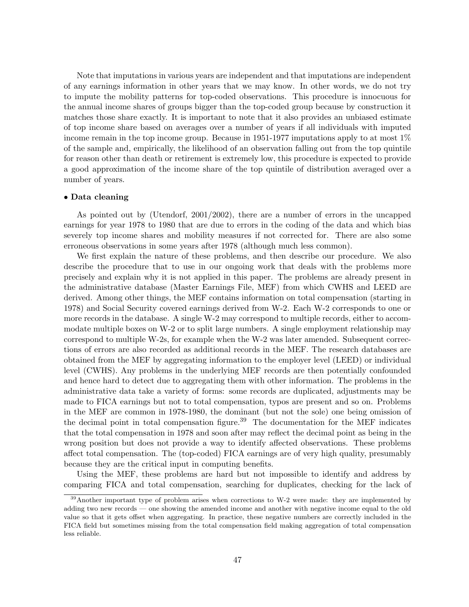Note that imputations in various years are independent and that imputations are independent of any earnings information in other years that we may know. In other words, we do not try to impute the mobility patterns for top-coded observations. This procedure is innocuous for the annual income shares of groups bigger than the top-coded group because by construction it matches those share exactly. It is important to note that it also provides an unbiased estimate of top income share based on averages over a number of years if all individuals with imputed income remain in the top income group. Because in 1951-1977 imputations apply to at most 1% of the sample and, empirically, the likelihood of an observation falling out from the top quintile for reason other than death or retirement is extremely low, this procedure is expected to provide a good approximation of the income share of the top quintile of distribution averaged over a number of years.

#### • Data cleaning

As pointed out by (Utendorf, 2001/2002), there are a number of errors in the uncapped earnings for year 1978 to 1980 that are due to errors in the coding of the data and which bias severely top income shares and mobility measures if not corrected for. There are also some erroneous observations in some years after 1978 (although much less common).

We first explain the nature of these problems, and then describe our procedure. We also describe the procedure that to use in our ongoing work that deals with the problems more precisely and explain why it is not applied in this paper. The problems are already present in the administrative database (Master Earnings File, MEF) from which CWHS and LEED are derived. Among other things, the MEF contains information on total compensation (starting in 1978) and Social Security covered earnings derived from W-2. Each W-2 corresponds to one or more records in the database. A single W-2 may correspond to multiple records, either to accommodate multiple boxes on W-2 or to split large numbers. A single employment relationship may correspond to multiple W-2s, for example when the W-2 was later amended. Subsequent corrections of errors are also recorded as additional records in the MEF. The research databases are obtained from the MEF by aggregating information to the employer level (LEED) or individual level (CWHS). Any problems in the underlying MEF records are then potentially confounded and hence hard to detect due to aggregating them with other information. The problems in the administrative data take a variety of forms: some records are duplicated, adjustments may be made to FICA earnings but not to total compensation, typos are present and so on. Problems in the MEF are common in 1978-1980, the dominant (but not the sole) one being omission of the decimal point in total compensation figure.<sup>39</sup> The documentation for the MEF indicates that the total compensation in 1978 and soon after may reflect the decimal point as being in the wrong position but does not provide a way to identify affected observations. These problems affect total compensation. The (top-coded) FICA earnings are of very high quality, presumably because they are the critical input in computing benefits.

Using the MEF, these problems are hard but not impossible to identify and address by comparing FICA and total compensation, searching for duplicates, checking for the lack of

 $39$ Another important type of problem arises when corrections to W-2 were made: they are implemented by adding two new records — one showing the amended income and another with negative income equal to the old value so that it gets offset when aggregating. In practice, these negative numbers are correctly included in the FICA field but sometimes missing from the total compensation field making aggregation of total compensation less reliable.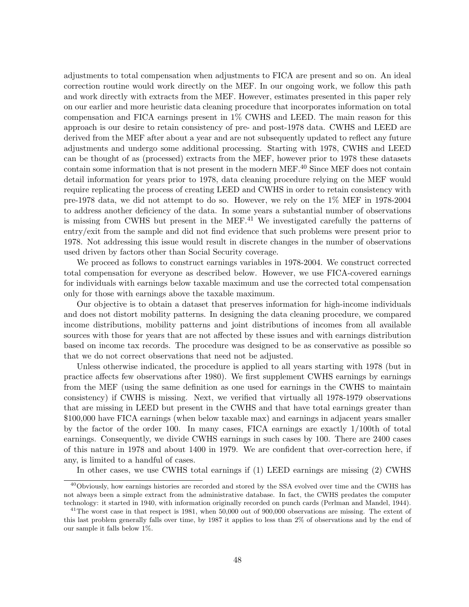adjustments to total compensation when adjustments to FICA are present and so on. An ideal correction routine would work directly on the MEF. In our ongoing work, we follow this path and work directly with extracts from the MEF. However, estimates presented in this paper rely on our earlier and more heuristic data cleaning procedure that incorporates information on total compensation and FICA earnings present in 1% CWHS and LEED. The main reason for this approach is our desire to retain consistency of pre- and post-1978 data. CWHS and LEED are derived from the MEF after about a year and are not subsequently updated to reflect any future adjustments and undergo some additional processing. Starting with 1978, CWHS and LEED can be thought of as (processed) extracts from the MEF, however prior to 1978 these datasets contain some information that is not present in the modern MEF.<sup>40</sup> Since MEF does not contain detail information for years prior to 1978, data cleaning procedure relying on the MEF would require replicating the process of creating LEED and CWHS in order to retain consistency with pre-1978 data, we did not attempt to do so. However, we rely on the 1% MEF in 1978-2004 to address another deficiency of the data. In some years a substantial number of observations is missing from CWHS but present in the MEF.<sup>41</sup> We investigated carefully the patterns of entry/exit from the sample and did not find evidence that such problems were present prior to 1978. Not addressing this issue would result in discrete changes in the number of observations used driven by factors other than Social Security coverage.

We proceed as follows to construct earnings variables in 1978-2004. We construct corrected total compensation for everyone as described below. However, we use FICA-covered earnings for individuals with earnings below taxable maximum and use the corrected total compensation only for those with earnings above the taxable maximum.

Our objective is to obtain a dataset that preserves information for high-income individuals and does not distort mobility patterns. In designing the data cleaning procedure, we compared income distributions, mobility patterns and joint distributions of incomes from all available sources with those for years that are not affected by these issues and with earnings distribution based on income tax records. The procedure was designed to be as conservative as possible so that we do not correct observations that need not be adjusted.

Unless otherwise indicated, the procedure is applied to all years starting with 1978 (but in practice affects few observations after 1980). We first supplement CWHS earnings by earnings from the MEF (using the same definition as one used for earnings in the CWHS to maintain consistency) if CWHS is missing. Next, we verified that virtually all 1978-1979 observations that are missing in LEED but present in the CWHS and that have total earnings greater than \$100,000 have FICA earnings (when below taxable max) and earnings in adjacent years smaller by the factor of the order 100. In many cases, FICA earnings are exactly 1/100th of total earnings. Consequently, we divide CWHS earnings in such cases by 100. There are 2400 cases of this nature in 1978 and about 1400 in 1979. We are confident that over-correction here, if any, is limited to a handful of cases.

In other cases, we use CWHS total earnings if (1) LEED earnings are missing (2) CWHS

<sup>&</sup>lt;sup>40</sup>Obviously, how earnings histories are recorded and stored by the SSA evolved over time and the CWHS has not always been a simple extract from the administrative database. In fact, the CWHS predates the computer technology: it started in 1940, with information originally recorded on punch cards (Perlman and Mandel, 1944).

 $^{41}$ The worst case in that respect is 1981, when 50,000 out of 900,000 observations are missing. The extent of this last problem generally falls over time, by 1987 it applies to less than 2% of observations and by the end of our sample it falls below 1%.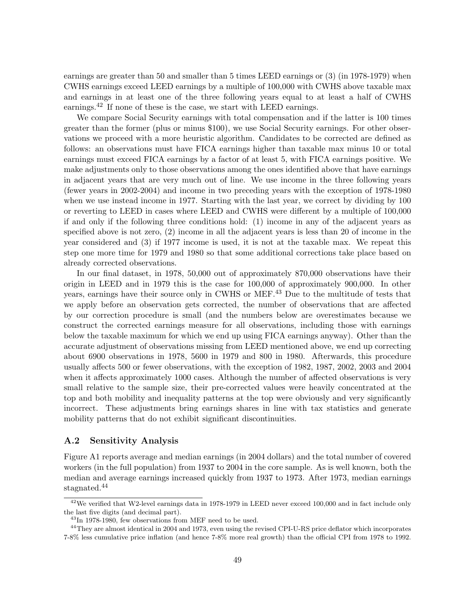earnings are greater than 50 and smaller than 5 times LEED earnings or (3) (in 1978-1979) when CWHS earnings exceed LEED earnings by a multiple of 100,000 with CWHS above taxable max and earnings in at least one of the three following years equal to at least a half of CWHS earnings.<sup>42</sup> If none of these is the case, we start with LEED earnings.

We compare Social Security earnings with total compensation and if the latter is 100 times greater than the former (plus or minus \$100), we use Social Security earnings. For other observations we proceed with a more heuristic algorithm. Candidates to be corrected are defined as follows: an observations must have FICA earnings higher than taxable max minus 10 or total earnings must exceed FICA earnings by a factor of at least 5, with FICA earnings positive. We make adjustments only to those observations among the ones identified above that have earnings in adjacent years that are very much out of line. We use income in the three following years (fewer years in 2002-2004) and income in two preceding years with the exception of 1978-1980 when we use instead income in 1977. Starting with the last year, we correct by dividing by 100 or reverting to LEED in cases where LEED and CWHS were different by a multiple of 100,000 if and only if the following three conditions hold: (1) income in any of the adjacent years as specified above is not zero, (2) income in all the adjacent years is less than 20 of income in the year considered and (3) if 1977 income is used, it is not at the taxable max. We repeat this step one more time for 1979 and 1980 so that some additional corrections take place based on already corrected observations.

In our final dataset, in 1978, 50,000 out of approximately 870,000 observations have their origin in LEED and in 1979 this is the case for 100,000 of approximately 900,000. In other years, earnings have their source only in CWHS or MEF.<sup>43</sup> Due to the multitude of tests that we apply before an observation gets corrected, the number of observations that are affected by our correction procedure is small (and the numbers below are overestimates because we construct the corrected earnings measure for all observations, including those with earnings below the taxable maximum for which we end up using FICA earnings anyway). Other than the accurate adjustment of observations missing from LEED mentioned above, we end up correcting about 6900 observations in 1978, 5600 in 1979 and 800 in 1980. Afterwards, this procedure usually affects 500 or fewer observations, with the exception of 1982, 1987, 2002, 2003 and 2004 when it affects approximately 1000 cases. Although the number of affected observations is very small relative to the sample size, their pre-corrected values were heavily concentrated at the top and both mobility and inequality patterns at the top were obviously and very significantly incorrect. These adjustments bring earnings shares in line with tax statistics and generate mobility patterns that do not exhibit significant discontinuities.

## A.2 Sensitivity Analysis

Figure A1 reports average and median earnings (in 2004 dollars) and the total number of covered workers (in the full population) from 1937 to 2004 in the core sample. As is well known, both the median and average earnings increased quickly from 1937 to 1973. After 1973, median earnings stagnated.<sup>44</sup>

<sup>&</sup>lt;sup>42</sup>We verified that W2-level earnings data in 1978-1979 in LEED never exceed 100,000 and in fact include only the last five digits (and decimal part).

<sup>43</sup>In 1978-1980, few observations from MEF need to be used.

<sup>&</sup>lt;sup>44</sup>They are almost identical in 2004 and 1973, even using the revised CPI-U-RS price deflator which incorporates 7-8% less cumulative price inflation (and hence 7-8% more real growth) than the official CPI from 1978 to 1992.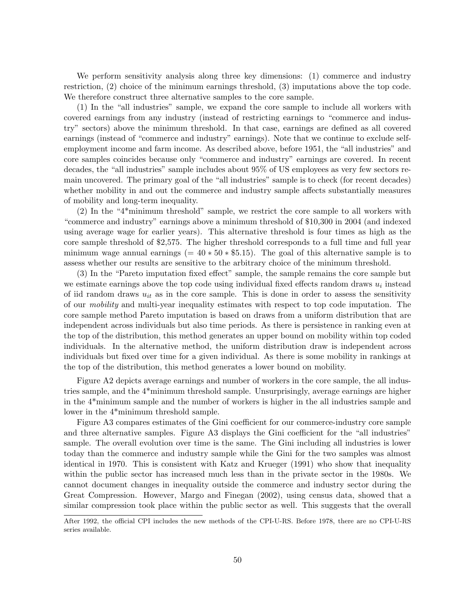We perform sensitivity analysis along three key dimensions: (1) commerce and industry restriction, (2) choice of the minimum earnings threshold, (3) imputations above the top code. We therefore construct three alternative samples to the core sample.

(1) In the "all industries" sample, we expand the core sample to include all workers with covered earnings from any industry (instead of restricting earnings to "commerce and industry" sectors) above the minimum threshold. In that case, earnings are defined as all covered earnings (instead of "commerce and industry" earnings). Note that we continue to exclude selfemployment income and farm income. As described above, before 1951, the "all industries" and core samples coincides because only "commerce and industry" earnings are covered. In recent decades, the "all industries" sample includes about 95% of US employees as very few sectors remain uncovered. The primary goal of the "all industries" sample is to check (for recent decades) whether mobility in and out the commerce and industry sample affects substantially measures of mobility and long-term inequality.

(2) In the "4\*minimum threshold" sample, we restrict the core sample to all workers with "commerce and industry" earnings above a minimum threshold of \$10,300 in 2004 (and indexed using average wage for earlier years). This alternative threshold is four times as high as the core sample threshold of \$2,575. The higher threshold corresponds to a full time and full year minimum wage annual earnings (=  $40 * 50 * $5.15$ ). The goal of this alternative sample is to assess whether our results are sensitive to the arbitrary choice of the minimum threshold.

(3) In the "Pareto imputation fixed effect" sample, the sample remains the core sample but we estimate earnings above the top code using individual fixed effects random draws  $u_i$  instead of iid random draws  $u_{it}$  as in the core sample. This is done in order to assess the sensitivity of our mobility and multi-year inequality estimates with respect to top code imputation. The core sample method Pareto imputation is based on draws from a uniform distribution that are independent across individuals but also time periods. As there is persistence in ranking even at the top of the distribution, this method generates an upper bound on mobility within top coded individuals. In the alternative method, the uniform distribution draw is independent across individuals but fixed over time for a given individual. As there is some mobility in rankings at the top of the distribution, this method generates a lower bound on mobility.

Figure A2 depicts average earnings and number of workers in the core sample, the all industries sample, and the 4\*minimum threshold sample. Unsurprisingly, average earnings are higher in the 4\*minimum sample and the number of workers is higher in the all industries sample and lower in the 4\*minimum threshold sample.

Figure A3 compares estimates of the Gini coefficient for our commerce-industry core sample and three alternative samples. Figure A3 displays the Gini coefficient for the "all industries" sample. The overall evolution over time is the same. The Gini including all industries is lower today than the commerce and industry sample while the Gini for the two samples was almost identical in 1970. This is consistent with Katz and Krueger (1991) who show that inequality within the public sector has increased much less than in the private sector in the 1980s. We cannot document changes in inequality outside the commerce and industry sector during the Great Compression. However, Margo and Finegan (2002), using census data, showed that a similar compression took place within the public sector as well. This suggests that the overall

After 1992, the official CPI includes the new methods of the CPI-U-RS. Before 1978, there are no CPI-U-RS series available.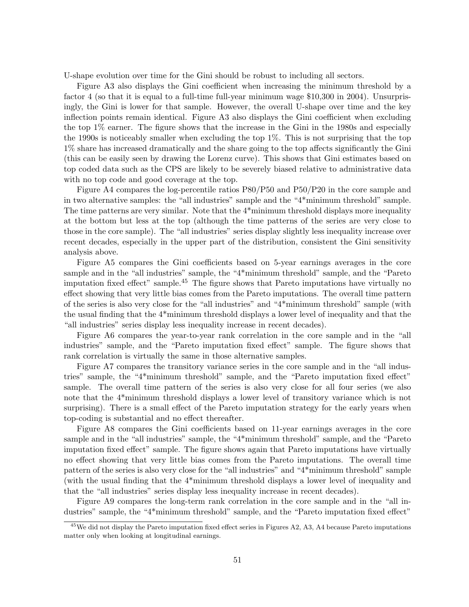U-shape evolution over time for the Gini should be robust to including all sectors.

Figure A3 also displays the Gini coefficient when increasing the minimum threshold by a factor 4 (so that it is equal to a full-time full-year minimum wage \$10,300 in 2004). Unsurprisingly, the Gini is lower for that sample. However, the overall U-shape over time and the key inflection points remain identical. Figure A3 also displays the Gini coefficient when excluding the top 1% earner. The figure shows that the increase in the Gini in the 1980s and especially the 1990s is noticeably smaller when excluding the top 1%. This is not surprising that the top 1% share has increased dramatically and the share going to the top affects significantly the Gini (this can be easily seen by drawing the Lorenz curve). This shows that Gini estimates based on top coded data such as the CPS are likely to be severely biased relative to administrative data with no top code and good coverage at the top.

Figure A4 compares the log-percentile ratios P80/P50 and P50/P20 in the core sample and in two alternative samples: the "all industries" sample and the "4\*minimum threshold" sample. The time patterns are very similar. Note that the 4\*minimum threshold displays more inequality at the bottom but less at the top (although the time patterns of the series are very close to those in the core sample). The "all industries" series display slightly less inequality increase over recent decades, especially in the upper part of the distribution, consistent the Gini sensitivity analysis above.

Figure A5 compares the Gini coefficients based on 5-year earnings averages in the core sample and in the "all industries" sample, the "4\*minimum threshold" sample, and the "Pareto imputation fixed effect" sample.<sup>45</sup> The figure shows that Pareto imputations have virtually no effect showing that very little bias comes from the Pareto imputations. The overall time pattern of the series is also very close for the "all industries" and "4\*minimum threshold" sample (with the usual finding that the 4\*minimum threshold displays a lower level of inequality and that the "all industries" series display less inequality increase in recent decades).

Figure A6 compares the year-to-year rank correlation in the core sample and in the "all industries" sample, and the "Pareto imputation fixed effect" sample. The figure shows that rank correlation is virtually the same in those alternative samples.

Figure A7 compares the transitory variance series in the core sample and in the "all industries" sample, the "4\*minimum threshold" sample, and the "Pareto imputation fixed effect" sample. The overall time pattern of the series is also very close for all four series (we also note that the 4\*minimum threshold displays a lower level of transitory variance which is not surprising). There is a small effect of the Pareto imputation strategy for the early years when top-coding is substantial and no effect thereafter.

Figure A8 compares the Gini coefficients based on 11-year earnings averages in the core sample and in the "all industries" sample, the "4\*minimum threshold" sample, and the "Pareto imputation fixed effect" sample. The figure shows again that Pareto imputations have virtually no effect showing that very little bias comes from the Pareto imputations. The overall time pattern of the series is also very close for the "all industries" and "4\*minimum threshold" sample (with the usual finding that the 4\*minimum threshold displays a lower level of inequality and that the "all industries" series display less inequality increase in recent decades).

Figure A9 compares the long-term rank correlation in the core sample and in the "all industries" sample, the "4\*minimum threshold" sample, and the "Pareto imputation fixed effect"

<sup>&</sup>lt;sup>45</sup>We did not display the Pareto imputation fixed effect series in Figures A2, A3, A4 because Pareto imputations matter only when looking at longitudinal earnings.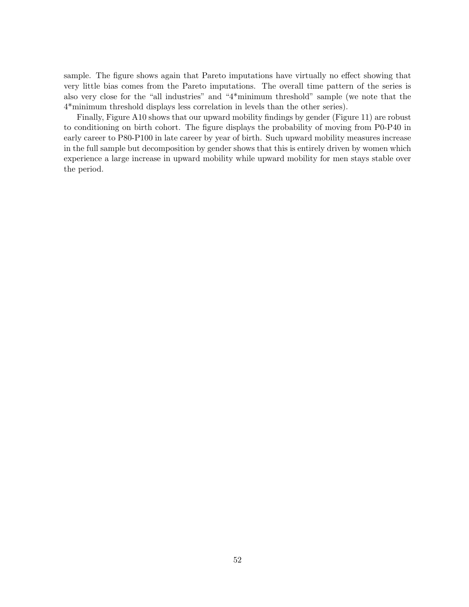sample. The figure shows again that Pareto imputations have virtually no effect showing that very little bias comes from the Pareto imputations. The overall time pattern of the series is also very close for the "all industries" and "4\*minimum threshold" sample (we note that the 4\*minimum threshold displays less correlation in levels than the other series).

Finally, Figure A10 shows that our upward mobility findings by gender (Figure 11) are robust to conditioning on birth cohort. The figure displays the probability of moving from P0-P40 in early career to P80-P100 in late career by year of birth. Such upward mobility measures increase in the full sample but decomposition by gender shows that this is entirely driven by women which experience a large increase in upward mobility while upward mobility for men stays stable over the period.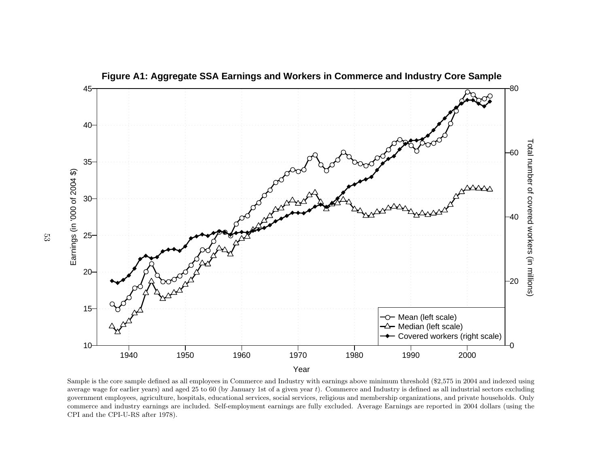

Sample is the core sample defined as all employees in Commerce and Industry with earnings above minimum threshold (\$2,575 in <sup>2004</sup> and indexed using average wage for earlier years) and aged <sup>25</sup> to <sup>60</sup> (by January 1st of <sup>a</sup> <sup>g</sup>iven year <sup>t</sup>). Commerce and Industry is defined as all industrial sectors excluding government employees, agriculture, hospitals, educational services, social services, religious and membership organizations, and private households. Only commerce and industry earnings are included. Self-employment earnings are fully excluded. Average Earnings are reported in <sup>2004</sup> dollars (using theCPI and the CPI-U-RS after 1978).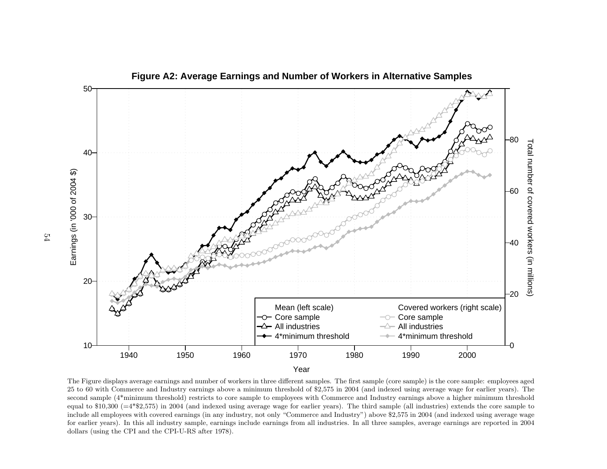

The Figure displays average earnings and number of workers in three different samples. The first sample (core sample) is the core sample: employees aged <sup>25</sup> to <sup>60</sup> with Commerce and Industry earnings above <sup>a</sup> minimum threshold of \$2,575 in <sup>2004</sup> (and indexed using average wage for earlier years). The second sample (4\*minimum threshold) restricts to core sample to employees with Commerce and Industry earnings above <sup>a</sup> higher minimum threshold equa<sup>l</sup> to \$10,300 (=4\*\$2,575) in <sup>2004</sup> (and indexed using average wage for earlier years). The third sample (all industries) extends the core sample to include all employees with covered earnings (in any industry, not only "Commerce and Industry") above \$2,575 in <sup>2004</sup> (and indexed using average wage for earlier years). In this all industry sample, earnings include earnings from all industries. In all three samples, average earnings are reported in <sup>2004</sup>dollars (using the CPI and the CPI-U-RS after 1978).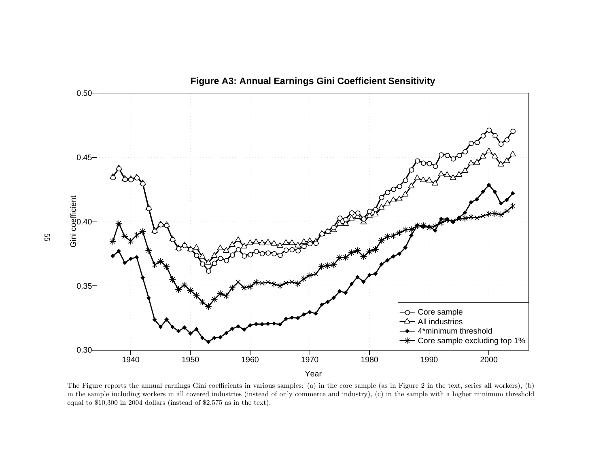

The Figure reports the annual earnings Gini coefficients in various samples: (a) in the core sample (as in Figure <sup>2</sup> in the text, series all workers), (b) in the sample including workers in all covered industries (instead of only commerce and industry), (c) in the sample with <sup>a</sup> higher minimum thresholdequa<sup>l</sup> to \$10,300 in <sup>2004</sup> dollars (instead of \$2,575 as in the text).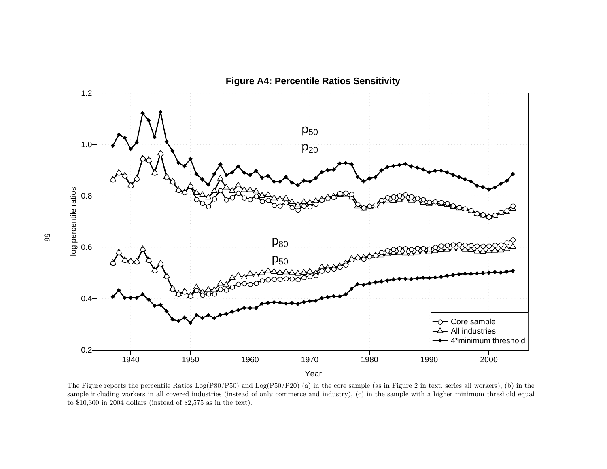

The Figure reports the percentile Ratios Log(P80/P50) and Log(P50/P20) (a) in the core sample (as in Figure <sup>2</sup> in text, series all workers), (b) in the sample including workers in all covered industries (instead of only commerce and industry), (c) in the sample with <sup>a</sup> higher minimum threshold equa<sup>l</sup>to \$10,300 in <sup>2004</sup> dollars (instead of \$2,575 as in the text).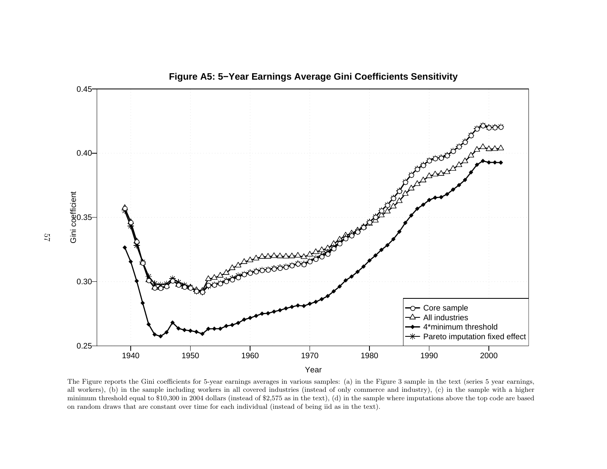

The Figure reports the Gini coefficients for 5-year earnings averages in various samples: (a) in the Figure <sup>3</sup> sample in the text (series <sup>5</sup> year earnings, all workers), (b) in the sample including workers in all covered industries (instead of only commerce and industry), (c) in the sample with <sup>a</sup> higher minimum threshold equa<sup>l</sup> to \$10,300 in <sup>2004</sup> dollars (instead of \$2,575 as in the text), (d) in the sample where imputations above the top code are basedon random draws that are constant over time for each individual (instead of being iid as in the text).

**Figure A5: 5−Year Earnings Average Gini Coefficients Sensitivity**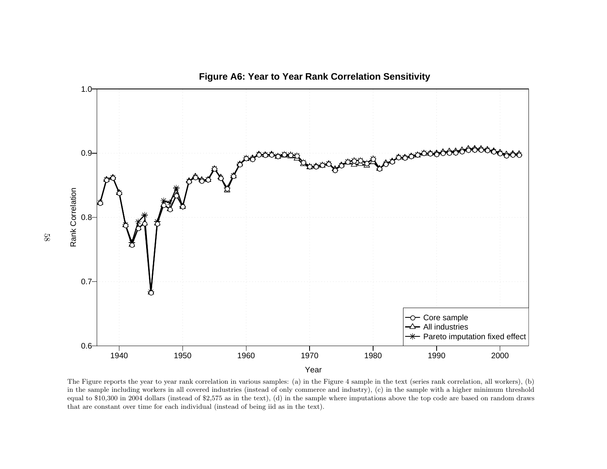

The Figure reports the year to year rank correlation in various samples: (a) in the Figure <sup>4</sup> sample in the text (series rank correlation, all workers), (b) in the sample including workers in all covered industries (instead of only commerce and industry), (c) in the sample with <sup>a</sup> higher minimum threshold equa<sup>l</sup> to \$10,300 in <sup>2004</sup> dollars (instead of \$2,575 as in the text), (d) in the sample where imputations above the top code are based on random drawsthat are constant over time for each individual (instead of being iid as in the text).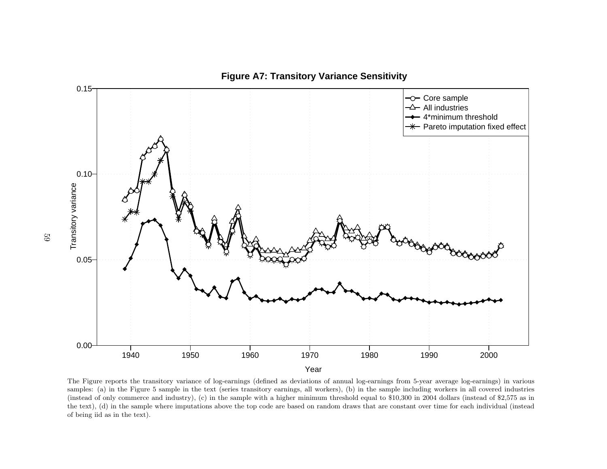

The Figure reports the transitory variance of log-earnings (defined as deviations of annual log-earnings from 5-year average log-earnings) in various samples: (a) in the Figure <sup>5</sup> sample in the text (series transitory earnings, all workers), (b) in the sample including workers in all covered industries (instead of only commerce and industry), (c) in the sample with <sup>a</sup> higher minimum threshold equa<sup>l</sup> to \$10,300 in <sup>2004</sup> dollars (instead of \$2,575 as in the text), (d) in the sample where imputations above the top code are based on random draws that are constant over time for each individual (insteadof being iid as in the text).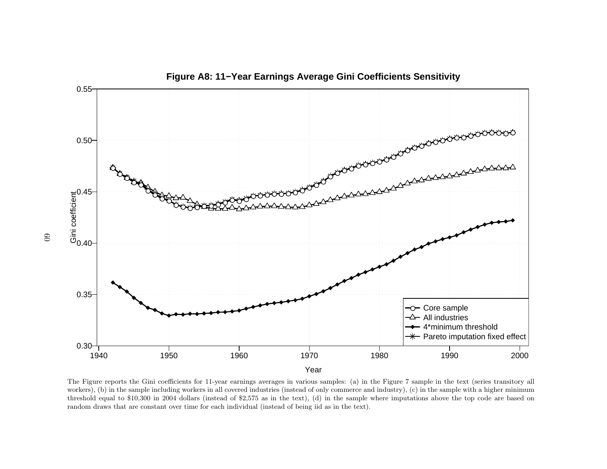

The Figure reports the Gini coefficients for 11-year earnings averages in various samples: (a) in the Figure <sup>7</sup> sample in the text (series transitory allworkers), (b) in the sample including workers in all covered industries (instead of only commerce and industry), (c) in the sample with a higher minimum threshold equa<sup>l</sup> to \$10,300 in <sup>2004</sup> dollars (instead of \$2,575 as in the text), (d) in the sample where imputations above the top code are based onrandom draws that are constant over time for each individual (instead of being iid as in the text).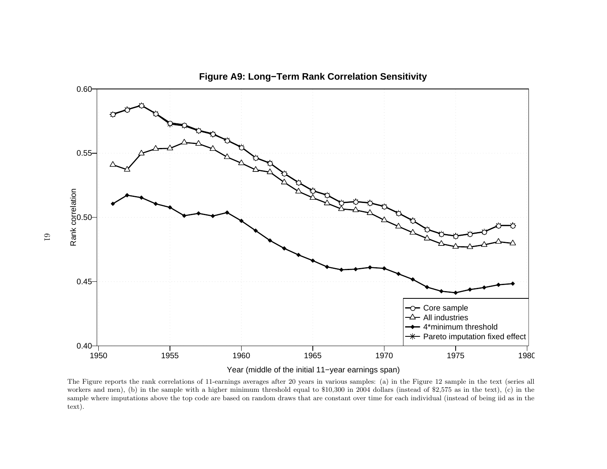

**Figure A9: Long−Term Rank Correlation Sensitivity**

Year (middle of the initial 11−year earnings span)

The Figure reports the rank correlations of 11-earnings averages after <sup>20</sup> years in various samples: (a) in the Figure <sup>12</sup> sample in the text (series all workers and men), (b) in the sample with <sup>a</sup> higher minimum threshold equa<sup>l</sup> to \$10,300 in <sup>2004</sup> dollars (instead of \$2,575 as in the text), (c) in the sample where imputations above the top code are based on random draws that are constant over time for each individual (instead of being iid as in thetext).